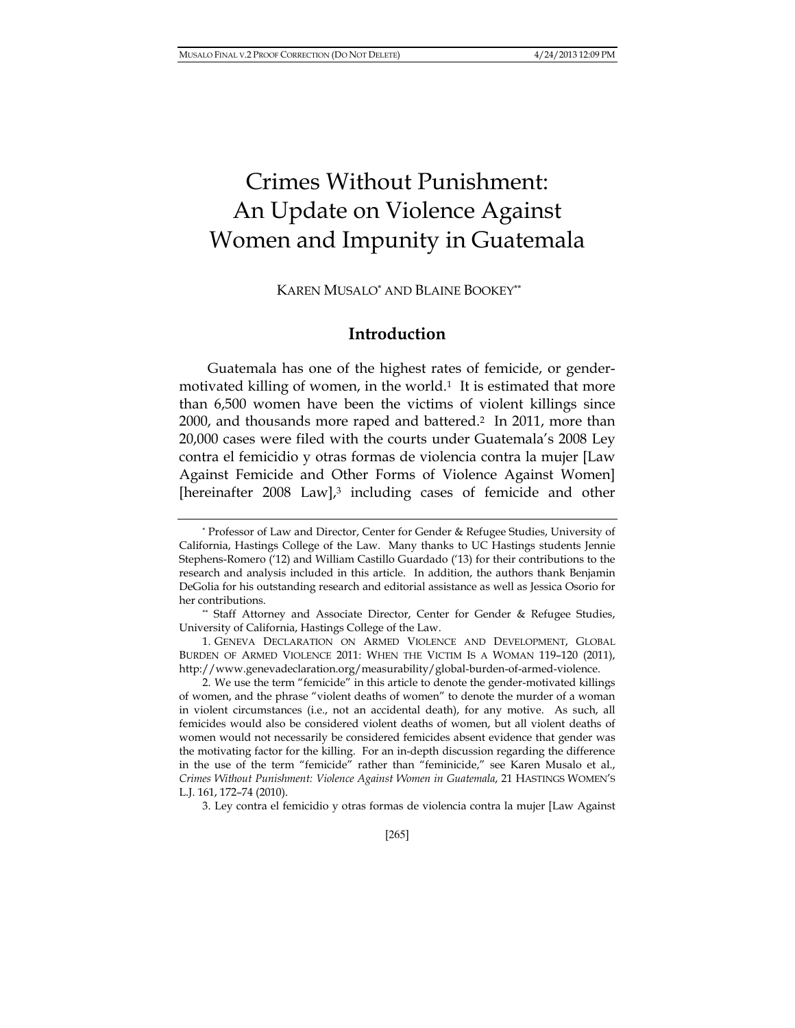# Crimes Without Punishment: An Update on Violence Against Women and Impunity in Guatemala

KAREN MUSALO\* AND BLAINE BOOKEY\*\*

# **Introduction**

Guatemala has one of the highest rates of femicide, or gendermotivated killing of women, in the world.<sup>1</sup> It is estimated that more than 6,500 women have been the victims of violent killings since 2000, and thousands more raped and battered.2 In 2011, more than 20,000 cases were filed with the courts under Guatemala's 2008 Ley contra el femicidio y otras formas de violencia contra la mujer [Law Against Femicide and Other Forms of Violence Against Women] [hereinafter 2008 Law],<sup>3</sup> including cases of femicide and other

<sup>\*</sup> Professor of Law and Director, Center for Gender & Refugee Studies, University of California, Hastings College of the Law. Many thanks to UC Hastings students Jennie Stephens-Romero ('12) and William Castillo Guardado ('13) for their contributions to the research and analysis included in this article. In addition, the authors thank Benjamin DeGolia for his outstanding research and editorial assistance as well as Jessica Osorio for her contributions.

<sup>\*\*</sup> Staff Attorney and Associate Director, Center for Gender & Refugee Studies, University of California, Hastings College of the Law.

<sup>1.</sup> GENEVA DECLARATION ON ARMED VIOLENCE AND DEVELOPMENT, GLOBAL BURDEN OF ARMED VIOLENCE 2011: WHEN THE VICTIM IS A WOMAN 119–120 (2011), http://www.genevadeclaration.org/measurability/global-burden-of-armed-violence.

<sup>2.</sup> We use the term "femicide" in this article to denote the gender-motivated killings of women, and the phrase "violent deaths of women" to denote the murder of a woman in violent circumstances (i.e., not an accidental death), for any motive. As such, all femicides would also be considered violent deaths of women, but all violent deaths of women would not necessarily be considered femicides absent evidence that gender was the motivating factor for the killing. For an in-depth discussion regarding the difference in the use of the term "femicide" rather than "feminicide," see Karen Musalo et al., *Crimes Without Punishment: Violence Against Women in Guatemala*, 21 HASTINGS WOMEN'S L.J. 161, 172–74 (2010).

<sup>3.</sup> Ley contra el femicidio y otras formas de violencia contra la mujer [Law Against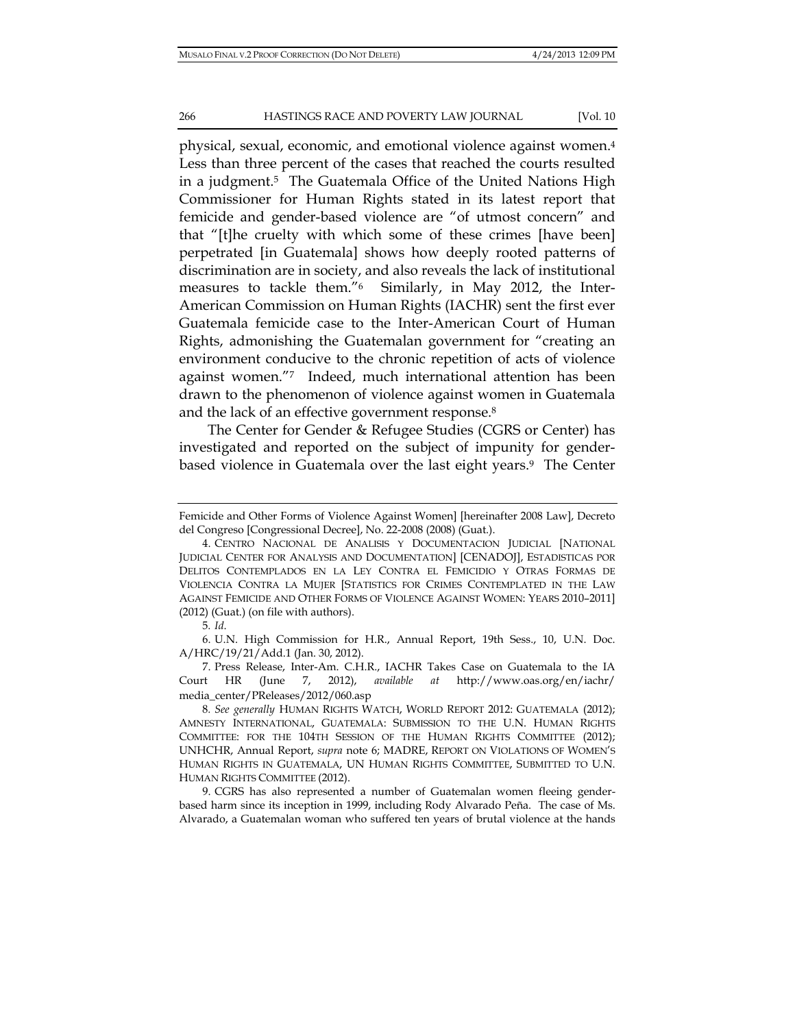physical, sexual, economic, and emotional violence against women.4 Less than three percent of the cases that reached the courts resulted in a judgment.5 The Guatemala Office of the United Nations High Commissioner for Human Rights stated in its latest report that femicide and gender-based violence are "of utmost concern" and that "[t]he cruelty with which some of these crimes [have been] perpetrated [in Guatemala] shows how deeply rooted patterns of discrimination are in society, and also reveals the lack of institutional measures to tackle them."6 Similarly, in May 2012, the Inter-American Commission on Human Rights (IACHR) sent the first ever Guatemala femicide case to the Inter-American Court of Human Rights, admonishing the Guatemalan government for "creating an environment conducive to the chronic repetition of acts of violence against women."7 Indeed, much international attention has been drawn to the phenomenon of violence against women in Guatemala and the lack of an effective government response.8

The Center for Gender & Refugee Studies (CGRS or Center) has investigated and reported on the subject of impunity for genderbased violence in Guatemala over the last eight years.<sup>9</sup> The Center

6. U.N. High Commission for H.R., Annual Report, 19th Sess., 10, U.N. Doc. A/HRC/19/21/Add.1 (Jan. 30, 2012).

Femicide and Other Forms of Violence Against Women] [hereinafter 2008 Law], Decreto del Congreso [Congressional Decree], No. 22-2008 (2008) (Guat.).

<sup>4.</sup> CENTRO NACIONAL DE ANALISIS Y DOCUMENTACION JUDICIAL [NATIONAL JUDICIAL CENTER FOR ANALYSIS AND DOCUMENTATION] [CENADOJ], ESTADISTICAS POR DELITOS CONTEMPLADOS EN LA LEY CONTRA EL FEMICIDIO Y OTRAS FORMAS DE VIOLENCIA CONTRA LA MUJER [STATISTICS FOR CRIMES CONTEMPLATED IN THE LAW AGAINST FEMICIDE AND OTHER FORMS OF VIOLENCE AGAINST WOMEN: YEARS 2010–2011] (2012) (Guat.) (on file with authors).

<sup>5</sup>*. Id*.

<sup>7.</sup> Press Release, Inter-Am. C.H.R., IACHR Takes Case on Guatemala to the IA Court HR (June 7, 2012), *available at* http://www.oas.org/en/iachr/ media\_center/PReleases/2012/060.asp

<sup>8</sup>*. See generally* HUMAN RIGHTS WATCH, WORLD REPORT 2012: GUATEMALA (2012); AMNESTY INTERNATIONAL, GUATEMALA: SUBMISSION TO THE U.N. HUMAN RIGHTS COMMITTEE: FOR THE 104TH SESSION OF THE HUMAN RIGHTS COMMITTEE (2012); UNHCHR, Annual Report, *supra* note 6; MADRE, REPORT ON VIOLATIONS OF WOMEN'S HUMAN RIGHTS IN GUATEMALA, UN HUMAN RIGHTS COMMITTEE, SUBMITTED TO U.N. HUMAN RIGHTS COMMITTEE (2012).

<sup>9.</sup> CGRS has also represented a number of Guatemalan women fleeing genderbased harm since its inception in 1999, including Rody Alvarado Peña. The case of Ms. Alvarado, a Guatemalan woman who suffered ten years of brutal violence at the hands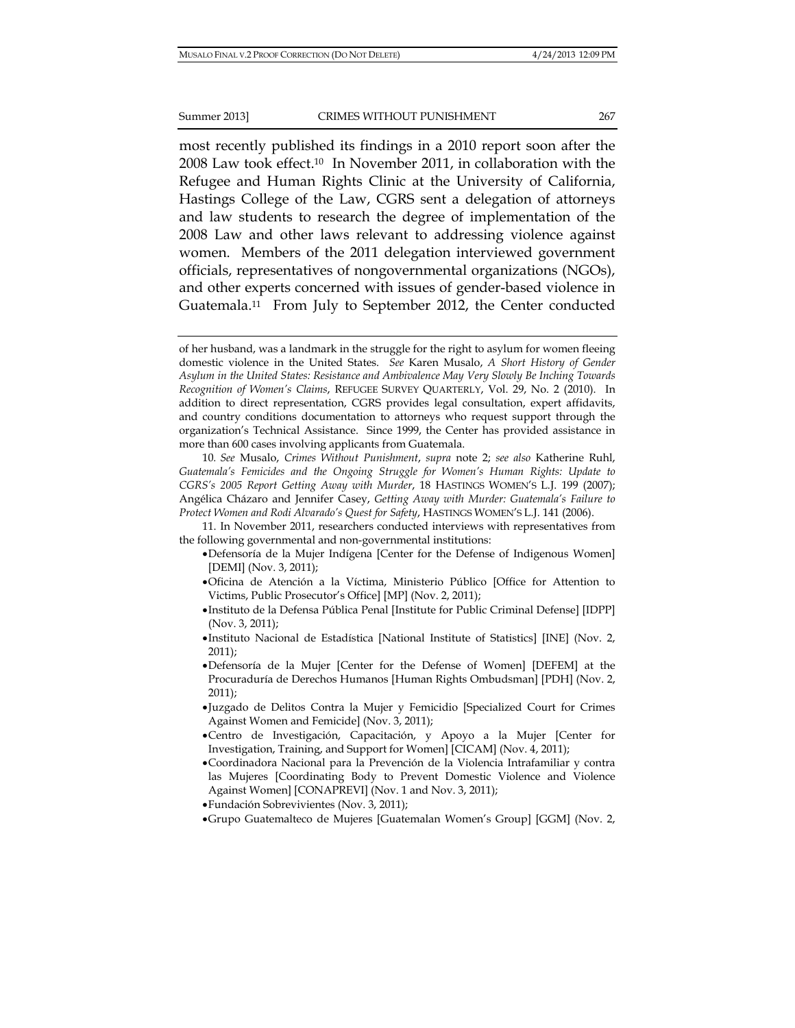most recently published its findings in a 2010 report soon after the 2008 Law took effect.10 In November 2011, in collaboration with the Refugee and Human Rights Clinic at the University of California, Hastings College of the Law, CGRS sent a delegation of attorneys and law students to research the degree of implementation of the 2008 Law and other laws relevant to addressing violence against women. Members of the 2011 delegation interviewed government officials, representatives of nongovernmental organizations (NGOs), and other experts concerned with issues of gender-based violence in Guatemala.11 From July to September 2012, the Center conducted

11. In November 2011, researchers conducted interviews with representatives from the following governmental and non-governmental institutions:

- Defensoría de la Mujer Indígena [Center for the Defense of Indigenous Women] [DEMI] (Nov. 3, 2011);
- Oficina de Atención a la Víctima, Ministerio Público [Office for Attention to Victims, Public Prosecutor's Office] [MP] (Nov. 2, 2011);
- Instituto de la Defensa Pública Penal [Institute for Public Criminal Defense] [IDPP] (Nov. 3, 2011);
- Instituto Nacional de Estadística [National Institute of Statistics] [INE] (Nov. 2, 2011);
- Defensoría de la Mujer [Center for the Defense of Women] [DEFEM] at the Procuraduría de Derechos Humanos [Human Rights Ombudsman] [PDH] (Nov. 2, 2011);
- Juzgado de Delitos Contra la Mujer y Femicidio [Specialized Court for Crimes Against Women and Femicide] (Nov. 3, 2011);
- Centro de Investigación, Capacitación, y Apoyo a la Mujer [Center for Investigation, Training, and Support for Women] [CICAM] (Nov. 4, 2011);
- Coordinadora Nacional para la Prevención de la Violencia Intrafamiliar y contra las Mujeres [Coordinating Body to Prevent Domestic Violence and Violence Against Women] [CONAPREVI] (Nov. 1 and Nov. 3, 2011);
- Fundación Sobrevivientes (Nov. 3, 2011);
- Grupo Guatemalteco de Mujeres [Guatemalan Women's Group] [GGM] (Nov. 2,

of her husband, was a landmark in the struggle for the right to asylum for women fleeing domestic violence in the United States. *See* Karen Musalo, *A Short History of Gender Asylum in the United States: Resistance and Ambivalence May Very Slowly Be Inching Towards Recognition of Women's Claims*, REFUGEE SURVEY QUARTERLY, Vol. 29, No. 2 (2010). In addition to direct representation, CGRS provides legal consultation, expert affidavits, and country conditions documentation to attorneys who request support through the organization's Technical Assistance. Since 1999, the Center has provided assistance in more than 600 cases involving applicants from Guatemala.

<sup>10</sup>*. See* Musalo, *Crimes Without Punishment*, *supra* note 2; *see also* Katherine Ruhl, *Guatemala's Femicides and the Ongoing Struggle for Women's Human Rights: Update to CGRS's 2005 Report Getting Away with Murder*, 18 HASTINGS WOMEN'S L.J. 199 (2007); Angélica Cházaro and Jennifer Casey, *Getting Away with Murder: Guatemala's Failure to Protect Women and Rodi Alvarado's Quest for Safety*, HASTINGS WOMEN'S L.J. 141 (2006).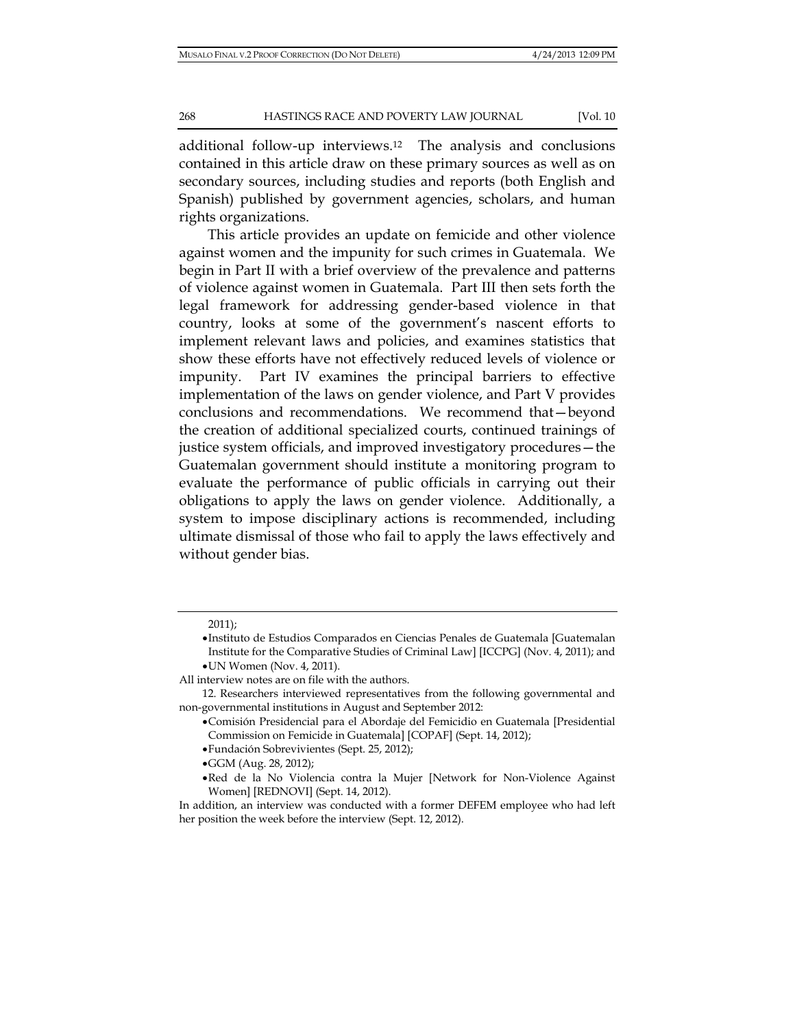additional follow-up interviews.12 The analysis and conclusions contained in this article draw on these primary sources as well as on secondary sources, including studies and reports (both English and Spanish) published by government agencies, scholars, and human rights organizations.

This article provides an update on femicide and other violence against women and the impunity for such crimes in Guatemala. We begin in Part II with a brief overview of the prevalence and patterns of violence against women in Guatemala. Part III then sets forth the legal framework for addressing gender-based violence in that country, looks at some of the government's nascent efforts to implement relevant laws and policies, and examines statistics that show these efforts have not effectively reduced levels of violence or impunity. Part IV examines the principal barriers to effective implementation of the laws on gender violence, and Part V provides conclusions and recommendations. We recommend that—beyond the creation of additional specialized courts, continued trainings of justice system officials, and improved investigatory procedures—the Guatemalan government should institute a monitoring program to evaluate the performance of public officials in carrying out their obligations to apply the laws on gender violence. Additionally, a system to impose disciplinary actions is recommended, including ultimate dismissal of those who fail to apply the laws effectively and without gender bias.

Fundación Sobrevivientes (Sept. 25, 2012);

<sup>2011);</sup> 

Instituto de Estudios Comparados en Ciencias Penales de Guatemala [Guatemalan Institute for the Comparative Studies of Criminal Law] [ICCPG] (Nov. 4, 2011); and UN Women (Nov. 4, 2011).

All interview notes are on file with the authors.

<sup>12.</sup> Researchers interviewed representatives from the following governmental and non-governmental institutions in August and September 2012:

Comisión Presidencial para el Abordaje del Femicidio en Guatemala [Presidential Commission on Femicide in Guatemala] [COPAF] (Sept. 14, 2012);

GGM (Aug. 28, 2012);

Red de la No Violencia contra la Mujer [Network for Non-Violence Against Women] [REDNOVI] (Sept. 14, 2012).

In addition, an interview was conducted with a former DEFEM employee who had left her position the week before the interview (Sept. 12, 2012).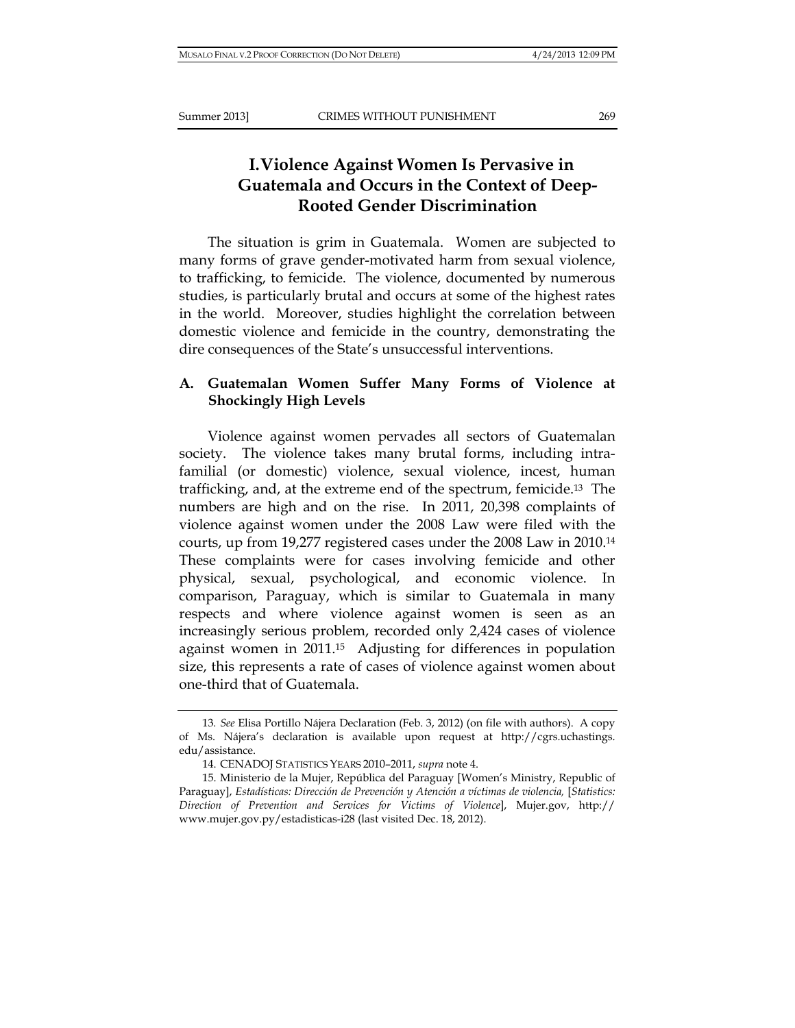# **I.Violence Against Women Is Pervasive in Guatemala and Occurs in the Context of Deep-Rooted Gender Discrimination**

The situation is grim in Guatemala. Women are subjected to many forms of grave gender-motivated harm from sexual violence, to trafficking, to femicide. The violence, documented by numerous studies, is particularly brutal and occurs at some of the highest rates in the world. Moreover, studies highlight the correlation between domestic violence and femicide in the country, demonstrating the dire consequences of the State's unsuccessful interventions.

# **A. Guatemalan Women Suffer Many Forms of Violence at Shockingly High Levels**

Violence against women pervades all sectors of Guatemalan society. The violence takes many brutal forms, including intrafamilial (or domestic) violence, sexual violence, incest, human trafficking, and, at the extreme end of the spectrum, femicide.13 The numbers are high and on the rise. In 2011, 20,398 complaints of violence against women under the 2008 Law were filed with the courts, up from 19,277 registered cases under the 2008 Law in 2010.14 These complaints were for cases involving femicide and other physical, sexual, psychological, and economic violence. In comparison, Paraguay, which is similar to Guatemala in many respects and where violence against women is seen as an increasingly serious problem, recorded only 2,424 cases of violence against women in 2011.15 Adjusting for differences in population size, this represents a rate of cases of violence against women about one-third that of Guatemala.

<sup>13</sup>*. See* Elisa Portillo Nájera Declaration (Feb. 3, 2012) (on file with authors). A copy of Ms. Nájera's declaration is available upon request at http://cgrs.uchastings. edu/assistance.

<sup>14.</sup> CENADOJ STATISTICS YEARS 2010–2011, *supra* note 4.

<sup>15.</sup> Ministerio de la Mujer, República del Paraguay [Women's Ministry, Republic of Paraguay], *Estadísticas: Dirección de Prevención y Atención a víctimas de violencia*, [*Statistics: Direction of Prevention and Services for Victims of Violence*], Mujer.gov, http:// www.mujer.gov.py/estadisticas-i28 (last visited Dec. 18, 2012).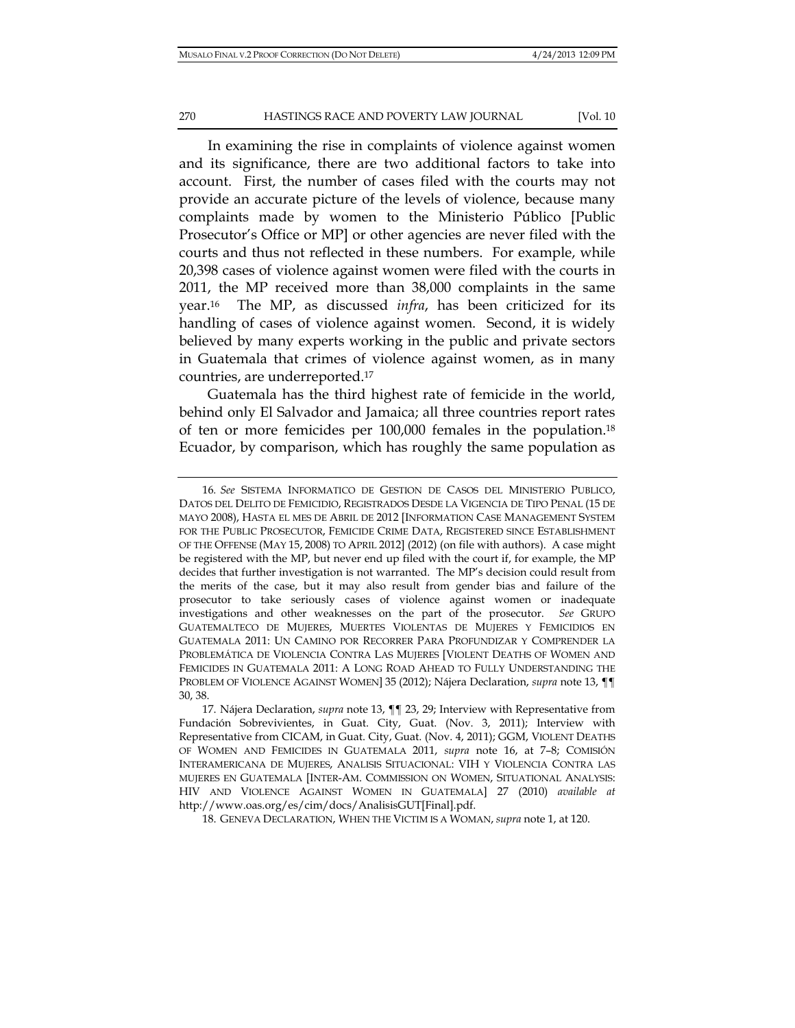In examining the rise in complaints of violence against women and its significance, there are two additional factors to take into account. First, the number of cases filed with the courts may not provide an accurate picture of the levels of violence, because many complaints made by women to the Ministerio Público [Public Prosecutor's Office or MP] or other agencies are never filed with the courts and thus not reflected in these numbers. For example, while 20,398 cases of violence against women were filed with the courts in 2011, the MP received more than 38,000 complaints in the same year.16 The MP, as discussed *infra*, has been criticized for its handling of cases of violence against women. Second, it is widely believed by many experts working in the public and private sectors in Guatemala that crimes of violence against women, as in many countries, are underreported.17

Guatemala has the third highest rate of femicide in the world, behind only El Salvador and Jamaica; all three countries report rates of ten or more femicides per 100,000 females in the population.18 Ecuador, by comparison, which has roughly the same population as

<sup>16</sup>*. See* SISTEMA INFORMATICO DE GESTION DE CASOS DEL MINISTERIO PUBLICO, DATOS DEL DELITO DE FEMICIDIO, REGISTRADOS DESDE LA VIGENCIA DE TIPO PENAL (15 DE MAYO 2008), HASTA EL MES DE ABRIL DE 2012 [INFORMATION CASE MANAGEMENT SYSTEM FOR THE PUBLIC PROSECUTOR, FEMICIDE CRIME DATA, REGISTERED SINCE ESTABLISHMENT OF THE OFFENSE (MAY 15, 2008) TO APRIL 2012] (2012) (on file with authors). A case might be registered with the MP, but never end up filed with the court if, for example, the MP decides that further investigation is not warranted. The MP's decision could result from the merits of the case, but it may also result from gender bias and failure of the prosecutor to take seriously cases of violence against women or inadequate investigations and other weaknesses on the part of the prosecutor. *See* GRUPO GUATEMALTECO DE MUJERES, MUERTES VIOLENTAS DE MUJERES Y FEMICIDIOS EN GUATEMALA 2011: UN CAMINO POR RECORRER PARA PROFUNDIZAR Y COMPRENDER LA PROBLEMÁTICA DE VIOLENCIA CONTRA LAS MUJERES [VIOLENT DEATHS OF WOMEN AND FEMICIDES IN GUATEMALA 2011: A LONG ROAD AHEAD TO FULLY UNDERSTANDING THE PROBLEM OF VIOLENCE AGAINST WOMEN] 35 (2012); Nájera Declaration, *supra* note 13, ¶¶ 30, 38.

<sup>17.</sup> Nájera Declaration, *supra* note 13, ¶¶ 23, 29; Interview with Representative from Fundación Sobrevivientes, in Guat. City, Guat. (Nov. 3, 2011); Interview with Representative from CICAM, in Guat. City, Guat. (Nov. 4, 2011); GGM, VIOLENT DEATHS OF WOMEN AND FEMICIDES IN GUATEMALA 2011, *supra* note 16, at 7–8; COMISIÓN INTERAMERICANA DE MUJERES, ANALISIS SITUACIONAL: VIH Y VIOLENCIA CONTRA LAS MUJERES EN GUATEMALA [INTER-AM. COMMISSION ON WOMEN, SITUATIONAL ANALYSIS: HIV AND VIOLENCE AGAINST WOMEN IN GUATEMALA] 27 (2010) *available at* http://www.oas.org/es/cim/docs/AnalisisGUT[Final].pdf.

<sup>18.</sup> GENEVA DECLARATION, WHEN THE VICTIM IS A WOMAN, *supra* note 1, at 120.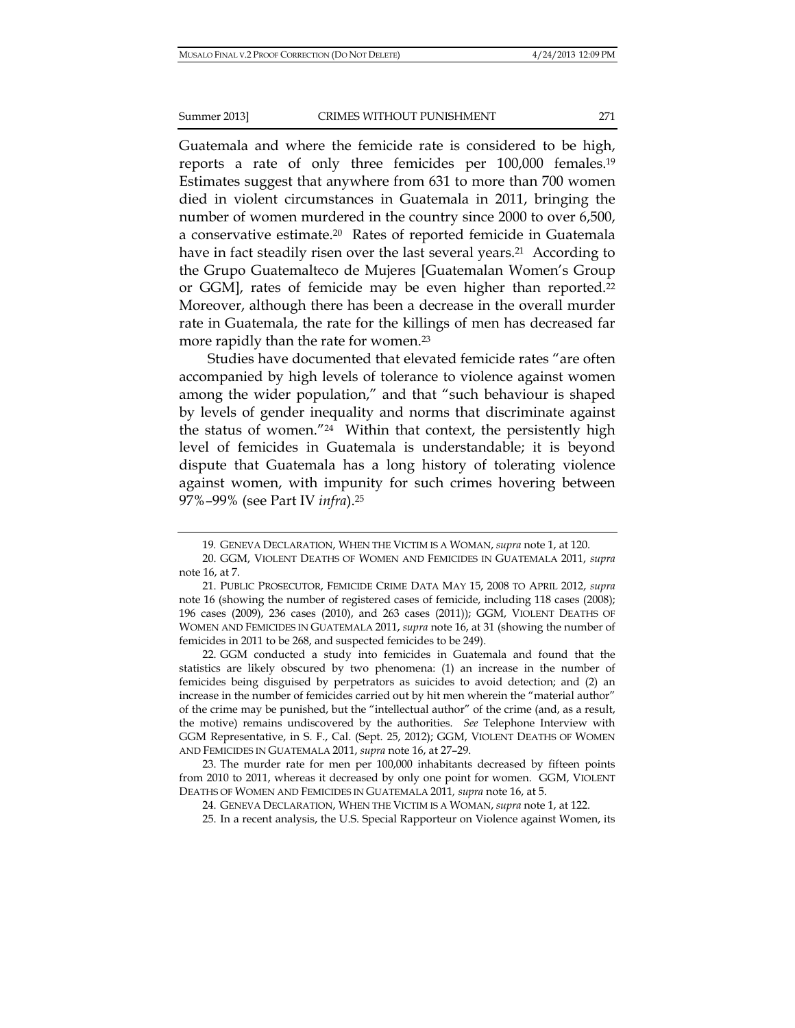Guatemala and where the femicide rate is considered to be high, reports a rate of only three femicides per 100,000 females.19 Estimates suggest that anywhere from 631 to more than 700 women died in violent circumstances in Guatemala in 2011, bringing the number of women murdered in the country since 2000 to over 6,500, a conservative estimate.20 Rates of reported femicide in Guatemala have in fact steadily risen over the last several years.<sup>21</sup> According to the Grupo Guatemalteco de Mujeres [Guatemalan Women's Group or GGM], rates of femicide may be even higher than reported.<sup>22</sup> Moreover, although there has been a decrease in the overall murder rate in Guatemala, the rate for the killings of men has decreased far more rapidly than the rate for women.23

Studies have documented that elevated femicide rates "are often accompanied by high levels of tolerance to violence against women among the wider population," and that "such behaviour is shaped by levels of gender inequality and norms that discriminate against the status of women."24 Within that context, the persistently high level of femicides in Guatemala is understandable; it is beyond dispute that Guatemala has a long history of tolerating violence against women, with impunity for such crimes hovering between 97%–99% (see Part IV *infra*).25

22. GGM conducted a study into femicides in Guatemala and found that the statistics are likely obscured by two phenomena: (1) an increase in the number of femicides being disguised by perpetrators as suicides to avoid detection; and (2) an increase in the number of femicides carried out by hit men wherein the "material author" of the crime may be punished, but the "intellectual author" of the crime (and, as a result, the motive) remains undiscovered by the authorities. *See* Telephone Interview with GGM Representative, in S. F., Cal. (Sept. 25, 2012); GGM, VIOLENT DEATHS OF WOMEN AND FEMICIDES IN GUATEMALA 2011, *supra* note 16, at 27–29.

23. The murder rate for men per 100,000 inhabitants decreased by fifteen points from 2010 to 2011, whereas it decreased by only one point for women. GGM, VIOLENT DEATHS OF WOMEN AND FEMICIDES IN GUATEMALA 2011*, supra* note 16, at 5.

<sup>19</sup>*.* GENEVA DECLARATION, WHEN THE VICTIM IS A WOMAN, *supra* note 1, at 120.

<sup>20.</sup> GGM, VIOLENT DEATHS OF WOMEN AND FEMICIDES IN GUATEMALA 2011, *supra*  note 16, at 7.

<sup>21.</sup> PUBLIC PROSECUTOR, FEMICIDE CRIME DATA MAY 15, 2008 TO APRIL 2012, *supra*  note 16 (showing the number of registered cases of femicide, including 118 cases (2008); 196 cases (2009), 236 cases (2010), and 263 cases (2011)); GGM, VIOLENT DEATHS OF WOMEN AND FEMICIDES IN GUATEMALA 2011, *supra* note 16, at 31 (showing the number of femicides in 2011 to be 268, and suspected femicides to be 249).

<sup>24.</sup> GENEVA DECLARATION, WHEN THE VICTIM IS A WOMAN, *supra* note 1, at 122.

<sup>25.</sup> In a recent analysis, the U.S. Special Rapporteur on Violence against Women, its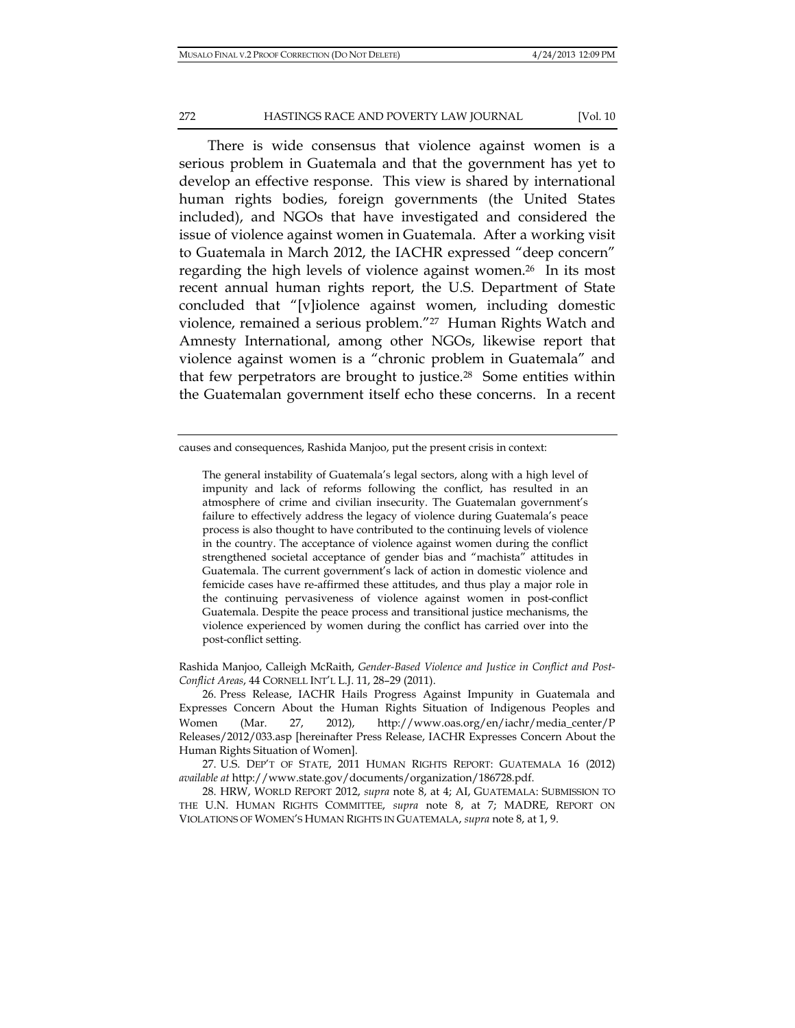#### 272 **HASTINGS RACE AND POVERTY LAW JOURNAL** [Vol. 10

There is wide consensus that violence against women is a serious problem in Guatemala and that the government has yet to develop an effective response. This view is shared by international human rights bodies, foreign governments (the United States included), and NGOs that have investigated and considered the issue of violence against women in Guatemala. After a working visit to Guatemala in March 2012, the IACHR expressed "deep concern" regarding the high levels of violence against women.26 In its most recent annual human rights report, the U.S. Department of State concluded that "[v]iolence against women, including domestic violence, remained a serious problem."27 Human Rights Watch and Amnesty International, among other NGOs, likewise report that violence against women is a "chronic problem in Guatemala" and that few perpetrators are brought to justice.28 Some entities within the Guatemalan government itself echo these concerns. In a recent

Rashida Manjoo, Calleigh McRaith, *Gender-Based Violence and Justice in Conflict and Post-Conflict Areas*, 44 CORNELL INT'L L.J. 11, 28–29 (2011).

causes and consequences, Rashida Manjoo, put the present crisis in context:

The general instability of Guatemala's legal sectors, along with a high level of impunity and lack of reforms following the conflict, has resulted in an atmosphere of crime and civilian insecurity. The Guatemalan government's failure to effectively address the legacy of violence during Guatemala's peace process is also thought to have contributed to the continuing levels of violence in the country. The acceptance of violence against women during the conflict strengthened societal acceptance of gender bias and "machista" attitudes in Guatemala. The current government's lack of action in domestic violence and femicide cases have re-affirmed these attitudes, and thus play a major role in the continuing pervasiveness of violence against women in post-conflict Guatemala. Despite the peace process and transitional justice mechanisms, the violence experienced by women during the conflict has carried over into the post-conflict setting.

<sup>26.</sup> Press Release, IACHR Hails Progress Against Impunity in Guatemala and Expresses Concern About the Human Rights Situation of Indigenous Peoples and Women (Mar. 27, 2012), http://www.oas.org/en/iachr/media\_center/P Releases/2012/033.asp [hereinafter Press Release, IACHR Expresses Concern About the Human Rights Situation of Women].

<sup>27.</sup> U.S. DEP'T OF STATE, 2011 HUMAN RIGHTS REPORT: GUATEMALA 16 (2012) *available at* http://www.state.gov/documents/organization/186728.pdf.

<sup>28.</sup> HRW, WORLD REPORT 2012, *supra* note 8, at 4; AI, GUATEMALA: SUBMISSION TO THE U.N. HUMAN RIGHTS COMMITTEE, *supra* note 8, at 7; MADRE, REPORT ON VIOLATIONS OF WOMEN'S HUMAN RIGHTS IN GUATEMALA, *supra* note 8, at 1, 9.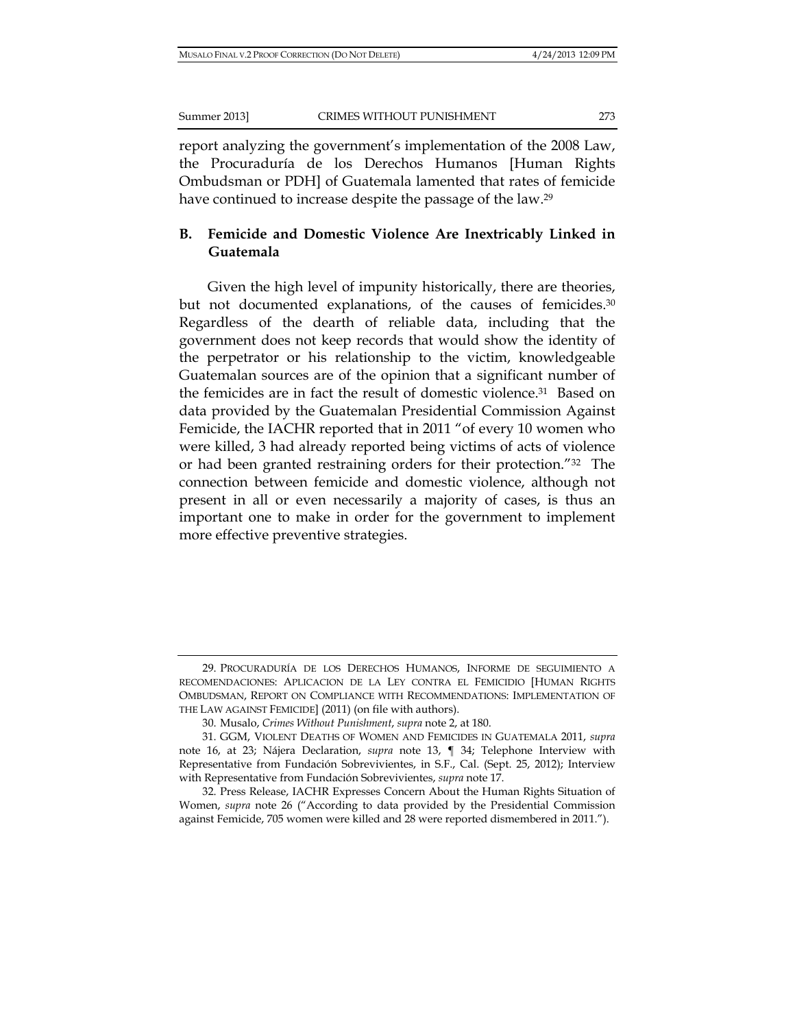report analyzing the government's implementation of the 2008 Law, the Procuraduría de los Derechos Humanos [Human Rights Ombudsman or PDH] of Guatemala lamented that rates of femicide have continued to increase despite the passage of the law.29

### **B. Femicide and Domestic Violence Are Inextricably Linked in Guatemala**

Given the high level of impunity historically, there are theories, but not documented explanations, of the causes of femicides.<sup>30</sup> Regardless of the dearth of reliable data, including that the government does not keep records that would show the identity of the perpetrator or his relationship to the victim, knowledgeable Guatemalan sources are of the opinion that a significant number of the femicides are in fact the result of domestic violence.31 Based on data provided by the Guatemalan Presidential Commission Against Femicide, the IACHR reported that in 2011 "of every 10 women who were killed, 3 had already reported being victims of acts of violence or had been granted restraining orders for their protection."32 The connection between femicide and domestic violence, although not present in all or even necessarily a majority of cases, is thus an important one to make in order for the government to implement more effective preventive strategies.

<sup>29.</sup> PROCURADURÍA DE LOS DERECHOS HUMANOS, INFORME DE SEGUIMIENTO A RECOMENDACIONES: APLICACION DE LA LEY CONTRA EL FEMICIDIO [HUMAN RIGHTS OMBUDSMAN, REPORT ON COMPLIANCE WITH RECOMMENDATIONS: IMPLEMENTATION OF THE LAW AGAINST FEMICIDE] (2011) (on file with authors).

<sup>30.</sup> Musalo, *Crimes Without Punishment*, *supra* note 2, at 180.

<sup>31.</sup> GGM, VIOLENT DEATHS OF WOMEN AND FEMICIDES IN GUATEMALA 2011, *supra*  note 16, at 23; Nájera Declaration, *supra* note 13, ¶ 34; Telephone Interview with Representative from Fundación Sobrevivientes, in S.F., Cal. (Sept. 25, 2012); Interview with Representative from Fundación Sobrevivientes, *supra* note 17.

<sup>32.</sup> Press Release, IACHR Expresses Concern About the Human Rights Situation of Women, *supra* note 26 ("According to data provided by the Presidential Commission against Femicide, 705 women were killed and 28 were reported dismembered in 2011.").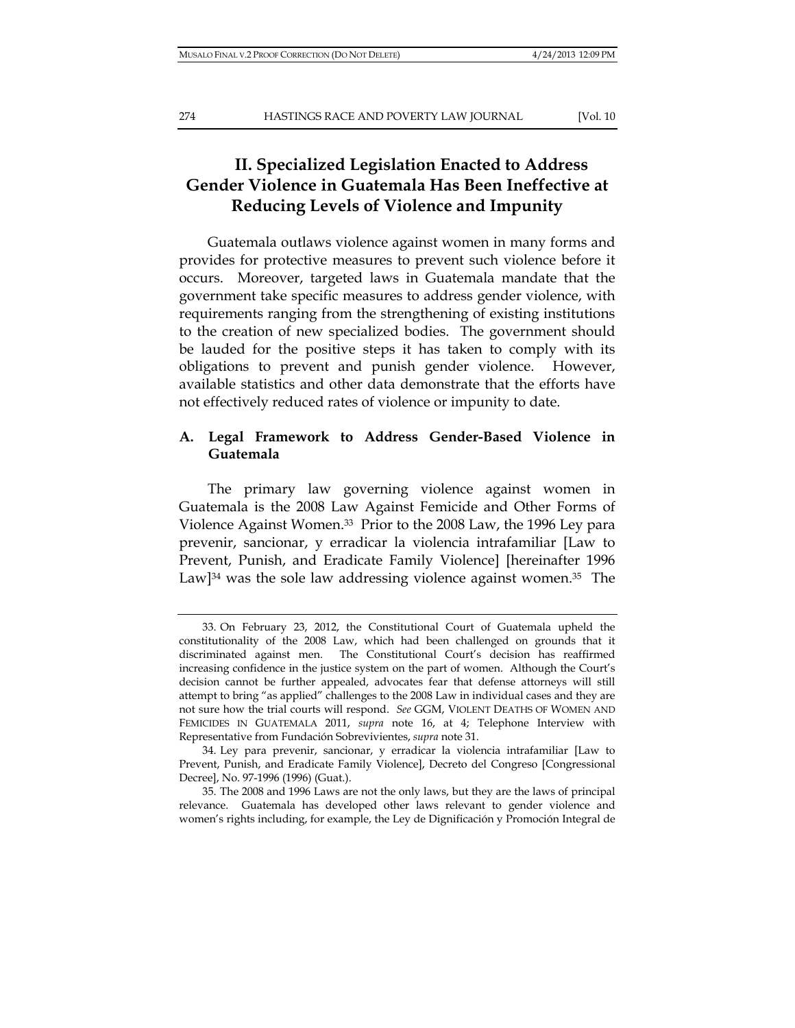# **II. Specialized Legislation Enacted to Address Gender Violence in Guatemala Has Been Ineffective at Reducing Levels of Violence and Impunity**

Guatemala outlaws violence against women in many forms and provides for protective measures to prevent such violence before it occurs. Moreover, targeted laws in Guatemala mandate that the government take specific measures to address gender violence, with requirements ranging from the strengthening of existing institutions to the creation of new specialized bodies. The government should be lauded for the positive steps it has taken to comply with its obligations to prevent and punish gender violence. However, available statistics and other data demonstrate that the efforts have not effectively reduced rates of violence or impunity to date.

# **A. Legal Framework to Address Gender-Based Violence in Guatemala**

The primary law governing violence against women in Guatemala is the 2008 Law Against Femicide and Other Forms of Violence Against Women.33 Prior to the 2008 Law, the 1996 Ley para prevenir, sancionar, y erradicar la violencia intrafamiliar [Law to Prevent, Punish, and Eradicate Family Violence] [hereinafter 1996 Law] $34$  was the sole law addressing violence against women. $35$  The

<sup>33.</sup> On February 23, 2012, the Constitutional Court of Guatemala upheld the constitutionality of the 2008 Law, which had been challenged on grounds that it discriminated against men. The Constitutional Court's decision has reaffirmed increasing confidence in the justice system on the part of women. Although the Court's decision cannot be further appealed, advocates fear that defense attorneys will still attempt to bring "as applied" challenges to the 2008 Law in individual cases and they are not sure how the trial courts will respond. *See* GGM, VIOLENT DEATHS OF WOMEN AND FEMICIDES IN GUATEMALA 2011, *supra* note 16, at 4; Telephone Interview with Representative from Fundación Sobrevivientes, *supra* note 31.

<sup>34.</sup> Ley para prevenir, sancionar, y erradicar la violencia intrafamiliar [Law to Prevent, Punish, and Eradicate Family Violence], Decreto del Congreso [Congressional Decree], No. 97-1996 (1996) (Guat.).

<sup>35.</sup> The 2008 and 1996 Laws are not the only laws, but they are the laws of principal relevance. Guatemala has developed other laws relevant to gender violence and women's rights including, for example, the Ley de Dignificación y Promoción Integral de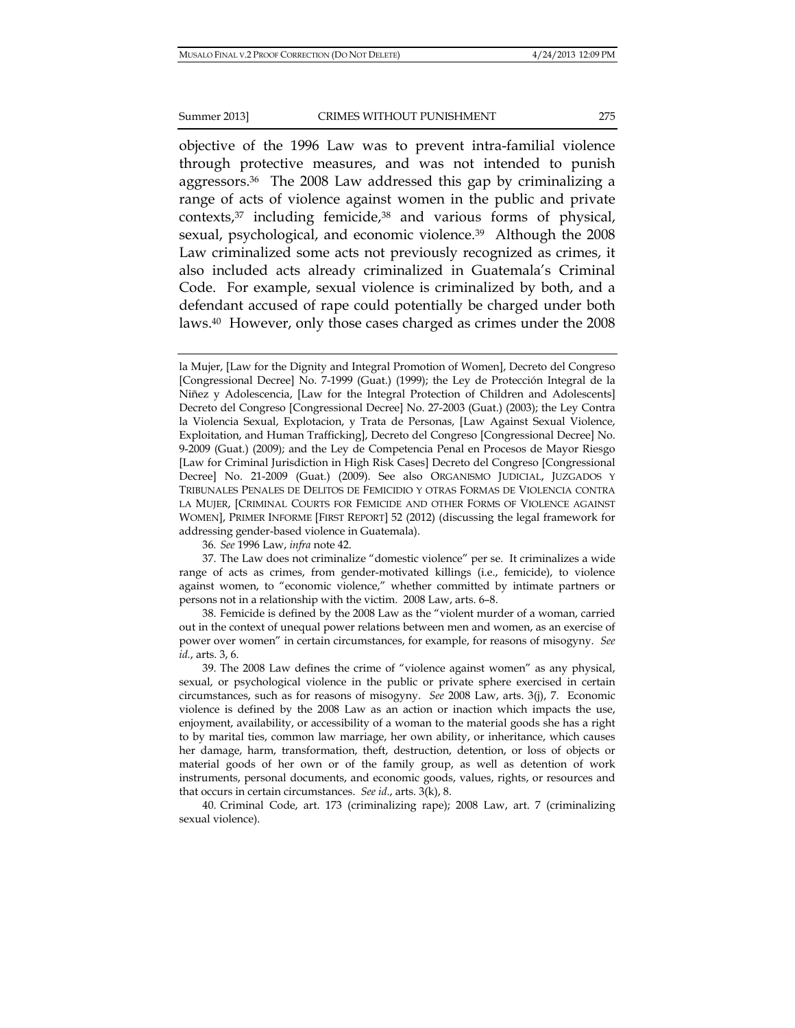objective of the 1996 Law was to prevent intra-familial violence through protective measures, and was not intended to punish aggressors.36 The 2008 Law addressed this gap by criminalizing a range of acts of violence against women in the public and private contexts,37 including femicide,38 and various forms of physical, sexual, psychological, and economic violence.<sup>39</sup> Although the 2008 Law criminalized some acts not previously recognized as crimes, it also included acts already criminalized in Guatemala's Criminal Code. For example, sexual violence is criminalized by both, and a defendant accused of rape could potentially be charged under both laws.40 However, only those cases charged as crimes under the 2008

36*. See* 1996 Law, *infra* note 42.

la Mujer, [Law for the Dignity and Integral Promotion of Women], Decreto del Congreso [Congressional Decree] No. 7-1999 (Guat.) (1999); the Ley de Protección Integral de la Niñez y Adolescencia, [Law for the Integral Protection of Children and Adolescents] Decreto del Congreso [Congressional Decree] No. 27-2003 (Guat.) (2003); the Ley Contra la Violencia Sexual, Explotacion, y Trata de Personas, [Law Against Sexual Violence, Exploitation, and Human Trafficking], Decreto del Congreso [Congressional Decree] No. 9-2009 (Guat.) (2009); and the Ley de Competencia Penal en Procesos de Mayor Riesgo [Law for Criminal Jurisdiction in High Risk Cases] Decreto del Congreso [Congressional Decree] No. 21-2009 (Guat.) (2009). See also ORGANISMO JUDICIAL, JUZGADOS Y TRIBUNALES PENALES DE DELITOS DE FEMICIDIO Y OTRAS FORMAS DE VIOLENCIA CONTRA LA MUJER, [CRIMINAL COURTS FOR FEMICIDE AND OTHER FORMS OF VIOLENCE AGAINST WOMEN], PRIMER INFORME [FIRST REPORT] 52 (2012) (discussing the legal framework for addressing gender-based violence in Guatemala).

<sup>37.</sup> The Law does not criminalize "domestic violence" per se. It criminalizes a wide range of acts as crimes, from gender-motivated killings (i.e., femicide), to violence against women, to "economic violence," whether committed by intimate partners or persons not in a relationship with the victim. 2008 Law, arts. 6–8.

<sup>38.</sup> Femicide is defined by the 2008 Law as the "violent murder of a woman, carried out in the context of unequal power relations between men and women, as an exercise of power over women" in certain circumstances, for example, for reasons of misogyny. *See id.*, arts. 3, 6.

<sup>39.</sup> The 2008 Law defines the crime of "violence against women" as any physical, sexual, or psychological violence in the public or private sphere exercised in certain circumstances, such as for reasons of misogyny. *See* 2008 Law, arts. 3(j), 7. Economic violence is defined by the 2008 Law as an action or inaction which impacts the use, enjoyment, availability, or accessibility of a woman to the material goods she has a right to by marital ties, common law marriage, her own ability, or inheritance, which causes her damage, harm, transformation, theft, destruction, detention, or loss of objects or material goods of her own or of the family group, as well as detention of work instruments, personal documents, and economic goods, values, rights, or resources and that occurs in certain circumstances. *See id*., arts. 3(k), 8.

<sup>40.</sup> Criminal Code, art. 173 (criminalizing rape); 2008 Law, art. 7 (criminalizing sexual violence).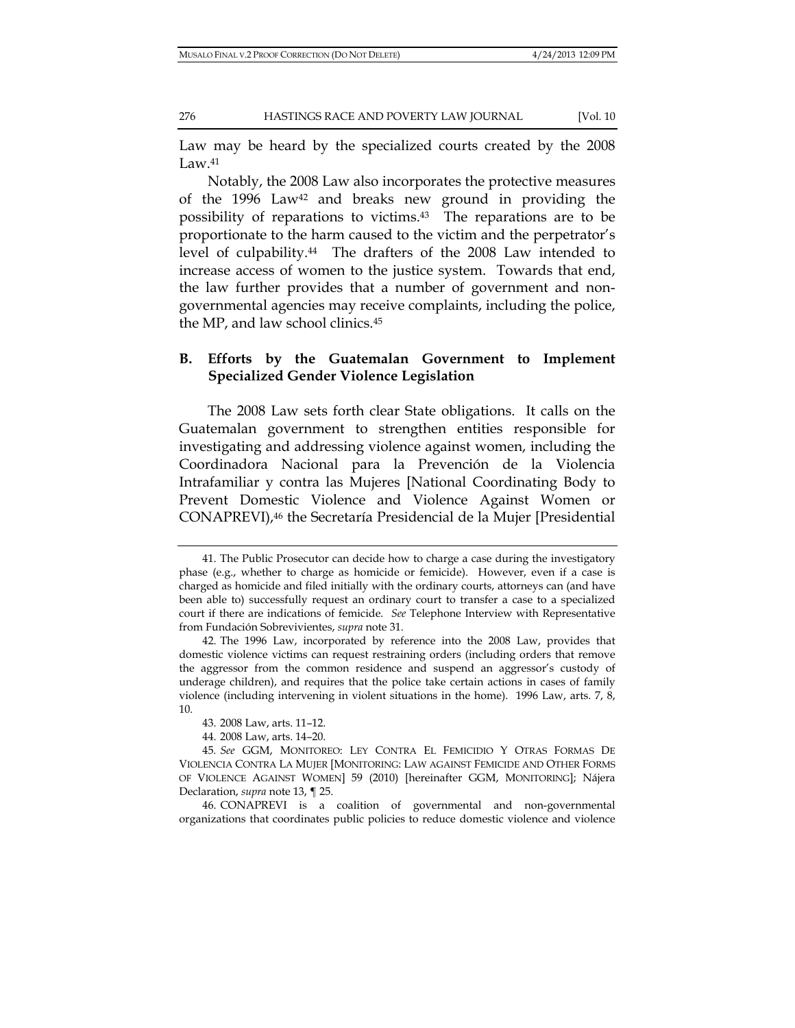Law may be heard by the specialized courts created by the 2008  $Law<sup>41</sup>$ 

Notably, the 2008 Law also incorporates the protective measures of the 1996 Law42 and breaks new ground in providing the possibility of reparations to victims.43 The reparations are to be proportionate to the harm caused to the victim and the perpetrator's level of culpability.44 The drafters of the 2008 Law intended to increase access of women to the justice system. Towards that end, the law further provides that a number of government and nongovernmental agencies may receive complaints, including the police, the MP, and law school clinics.45

# **B. Efforts by the Guatemalan Government to Implement Specialized Gender Violence Legislation**

The 2008 Law sets forth clear State obligations. It calls on the Guatemalan government to strengthen entities responsible for investigating and addressing violence against women, including the Coordinadora Nacional para la Prevención de la Violencia Intrafamiliar y contra las Mujeres [National Coordinating Body to Prevent Domestic Violence and Violence Against Women or CONAPREVI),46 the Secretaría Presidencial de la Mujer [Presidential

<sup>41.</sup> The Public Prosecutor can decide how to charge a case during the investigatory phase (e.g., whether to charge as homicide or femicide). However, even if a case is charged as homicide and filed initially with the ordinary courts, attorneys can (and have been able to) successfully request an ordinary court to transfer a case to a specialized court if there are indications of femicide. *See* Telephone Interview with Representative from Fundación Sobrevivientes, *supra* note 31.

<sup>42.</sup> The 1996 Law, incorporated by reference into the 2008 Law, provides that domestic violence victims can request restraining orders (including orders that remove the aggressor from the common residence and suspend an aggressor's custody of underage children), and requires that the police take certain actions in cases of family violence (including intervening in violent situations in the home). 1996 Law, arts. 7, 8, 10.

<sup>43. 2008</sup> Law, arts. 11–12.

<sup>44. 2008</sup> Law, arts. 14–20.

<sup>45</sup>*. See* GGM, MONITOREO: LEY CONTRA EL FEMICIDIO Y OTRAS FORMAS DE VIOLENCIA CONTRA LA MUJER [MONITORING: LAW AGAINST FEMICIDE AND OTHER FORMS OF VIOLENCE AGAINST WOMEN] 59 (2010) [hereinafter GGM, MONITORING]; Nájera Declaration, *supra* note 13, ¶ 25.

<sup>46.</sup> CONAPREVI is a coalition of governmental and non-governmental organizations that coordinates public policies to reduce domestic violence and violence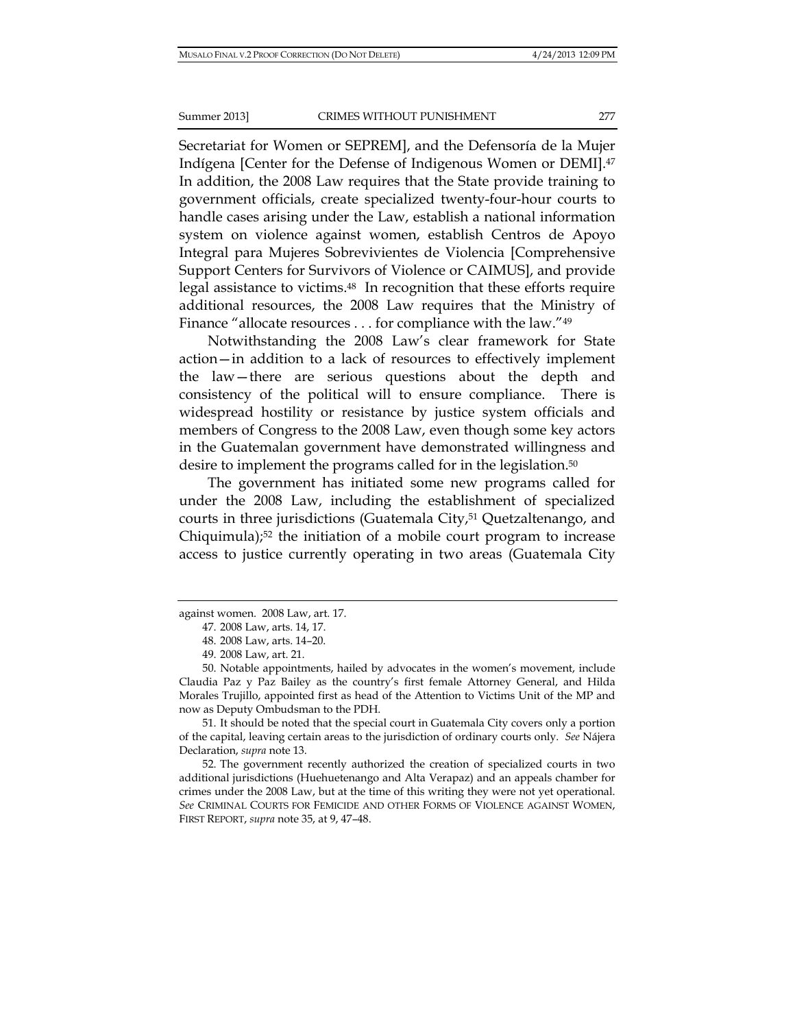Secretariat for Women or SEPREM], and the Defensoría de la Mujer Indígena [Center for the Defense of Indigenous Women or DEMI].47 In addition, the 2008 Law requires that the State provide training to government officials, create specialized twenty-four-hour courts to handle cases arising under the Law, establish a national information system on violence against women, establish Centros de Apoyo Integral para Mujeres Sobrevivientes de Violencia [Comprehensive Support Centers for Survivors of Violence or CAIMUS], and provide legal assistance to victims.48 In recognition that these efforts require additional resources, the 2008 Law requires that the Ministry of Finance "allocate resources . . . for compliance with the law."<sup>49</sup>

Notwithstanding the 2008 Law's clear framework for State action—in addition to a lack of resources to effectively implement the law—there are serious questions about the depth and consistency of the political will to ensure compliance. There is widespread hostility or resistance by justice system officials and members of Congress to the 2008 Law, even though some key actors in the Guatemalan government have demonstrated willingness and desire to implement the programs called for in the legislation.50

The government has initiated some new programs called for under the 2008 Law, including the establishment of specialized courts in three jurisdictions (Guatemala City,51 Quetzaltenango, and Chiquimula);52 the initiation of a mobile court program to increase access to justice currently operating in two areas (Guatemala City

51. It should be noted that the special court in Guatemala City covers only a portion of the capital, leaving certain areas to the jurisdiction of ordinary courts only. *See* Nájera Declaration, *supra* note 13.

52. The government recently authorized the creation of specialized courts in two additional jurisdictions (Huehuetenango and Alta Verapaz) and an appeals chamber for crimes under the 2008 Law, but at the time of this writing they were not yet operational. *See* CRIMINAL COURTS FOR FEMICIDE AND OTHER FORMS OF VIOLENCE AGAINST WOMEN, FIRST REPORT, *supra* note 35, at 9, 47–48.

against women. 2008 Law, art. 17.

<sup>47. 2008</sup> Law, arts. 14, 17.

<sup>48. 2008</sup> Law, arts. 14–20.

<sup>49. 2008</sup> Law, art. 21.

<sup>50.</sup> Notable appointments, hailed by advocates in the women's movement, include Claudia Paz y Paz Bailey as the country's first female Attorney General, and Hilda Morales Trujillo, appointed first as head of the Attention to Victims Unit of the MP and now as Deputy Ombudsman to the PDH.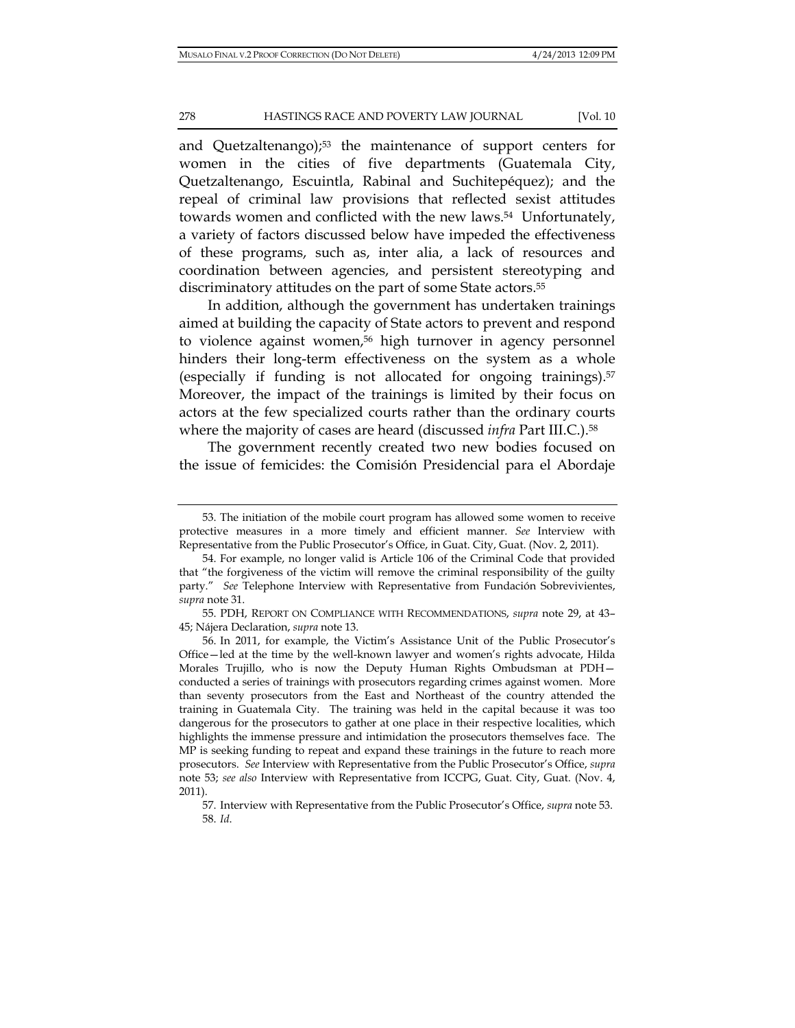and Quetzaltenango);<sup>53</sup> the maintenance of support centers for women in the cities of five departments (Guatemala City, Quetzaltenango, Escuintla, Rabinal and Suchitepéquez); and the repeal of criminal law provisions that reflected sexist attitudes towards women and conflicted with the new laws.54 Unfortunately, a variety of factors discussed below have impeded the effectiveness of these programs, such as, inter alia, a lack of resources and coordination between agencies, and persistent stereotyping and discriminatory attitudes on the part of some State actors.<sup>55</sup>

In addition, although the government has undertaken trainings aimed at building the capacity of State actors to prevent and respond to violence against women,<sup>56</sup> high turnover in agency personnel hinders their long-term effectiveness on the system as a whole (especially if funding is not allocated for ongoing trainings).57 Moreover, the impact of the trainings is limited by their focus on actors at the few specialized courts rather than the ordinary courts where the majority of cases are heard (discussed *infra* Part III.C.).58

The government recently created two new bodies focused on the issue of femicides: the Comisión Presidencial para el Abordaje

55. PDH, REPORT ON COMPLIANCE WITH RECOMMENDATIONS, *supra* note 29, at 43– 45; Nájera Declaration, *supra* note 13.

<sup>53.</sup> The initiation of the mobile court program has allowed some women to receive protective measures in a more timely and efficient manner. *See* Interview with Representative from the Public Prosecutor's Office, in Guat. City, Guat. (Nov. 2, 2011).

<sup>54.</sup> For example, no longer valid is Article 106 of the Criminal Code that provided that "the forgiveness of the victim will remove the criminal responsibility of the guilty party." *See* Telephone Interview with Representative from Fundación Sobrevivientes, *supra* note 31.

<sup>56.</sup> In 2011, for example, the Victim's Assistance Unit of the Public Prosecutor's Office—led at the time by the well-known lawyer and women's rights advocate, Hilda Morales Trujillo, who is now the Deputy Human Rights Ombudsman at PDH conducted a series of trainings with prosecutors regarding crimes against women. More than seventy prosecutors from the East and Northeast of the country attended the training in Guatemala City. The training was held in the capital because it was too dangerous for the prosecutors to gather at one place in their respective localities, which highlights the immense pressure and intimidation the prosecutors themselves face. The MP is seeking funding to repeat and expand these trainings in the future to reach more prosecutors. *See* Interview with Representative from the Public Prosecutor's Office, *supra*  note 53; *see also* Interview with Representative from ICCPG, Guat. City, Guat. (Nov. 4, 2011).

<sup>57.</sup> Interview with Representative from the Public Prosecutor's Office, *supra* note 53. 58. *Id*.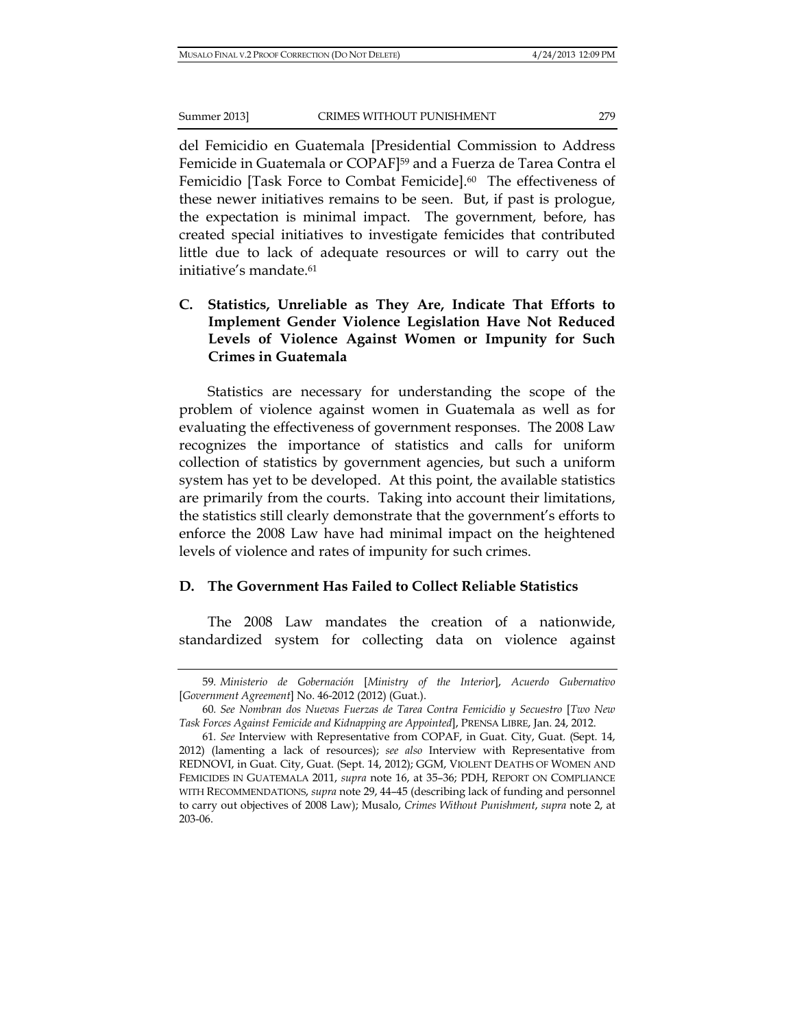del Femicidio en Guatemala [Presidential Commission to Address Femicide in Guatemala or COPAF]59 and a Fuerza de Tarea Contra el Femicidio [Task Force to Combat Femicide].<sup>60</sup> The effectiveness of these newer initiatives remains to be seen. But, if past is prologue, the expectation is minimal impact. The government, before, has created special initiatives to investigate femicides that contributed little due to lack of adequate resources or will to carry out the initiative's mandate.61

**C. Statistics, Unreliable as They Are, Indicate That Efforts to Implement Gender Violence Legislation Have Not Reduced Levels of Violence Against Women or Impunity for Such Crimes in Guatemala**

Statistics are necessary for understanding the scope of the problem of violence against women in Guatemala as well as for evaluating the effectiveness of government responses. The 2008 Law recognizes the importance of statistics and calls for uniform collection of statistics by government agencies, but such a uniform system has yet to be developed. At this point, the available statistics are primarily from the courts. Taking into account their limitations, the statistics still clearly demonstrate that the government's efforts to enforce the 2008 Law have had minimal impact on the heightened levels of violence and rates of impunity for such crimes.

#### **D. The Government Has Failed to Collect Reliable Statistics**

The 2008 Law mandates the creation of a nationwide, standardized system for collecting data on violence against

<sup>59</sup>*. Ministerio de Gobernación* [*Ministry of the Interior*], *Acuerdo Gubernativo*  [*Government Agreement*] No. 46-2012 (2012) (Guat.).

<sup>60</sup>*. See Nombran dos Nuevas Fuerzas de Tarea Contra Femicidio y Secuestro* [*Two New Task Forces Against Femicide and Kidnapping are Appointed*], PRENSA LIBRE, Jan. 24, 2012.

<sup>61</sup>*. See* Interview with Representative from COPAF, in Guat. City, Guat. (Sept. 14, 2012) (lamenting a lack of resources); *see also* Interview with Representative from REDNOVI, in Guat. City, Guat. (Sept. 14, 2012); GGM, VIOLENT DEATHS OF WOMEN AND FEMICIDES IN GUATEMALA 2011, *supra* note 16, at 35–36; PDH, REPORT ON COMPLIANCE WITH RECOMMENDATIONS, *supra* note 29, 44–45 (describing lack of funding and personnel to carry out objectives of 2008 Law); Musalo, *Crimes Without Punishment*, *supra* note 2, at 203-06.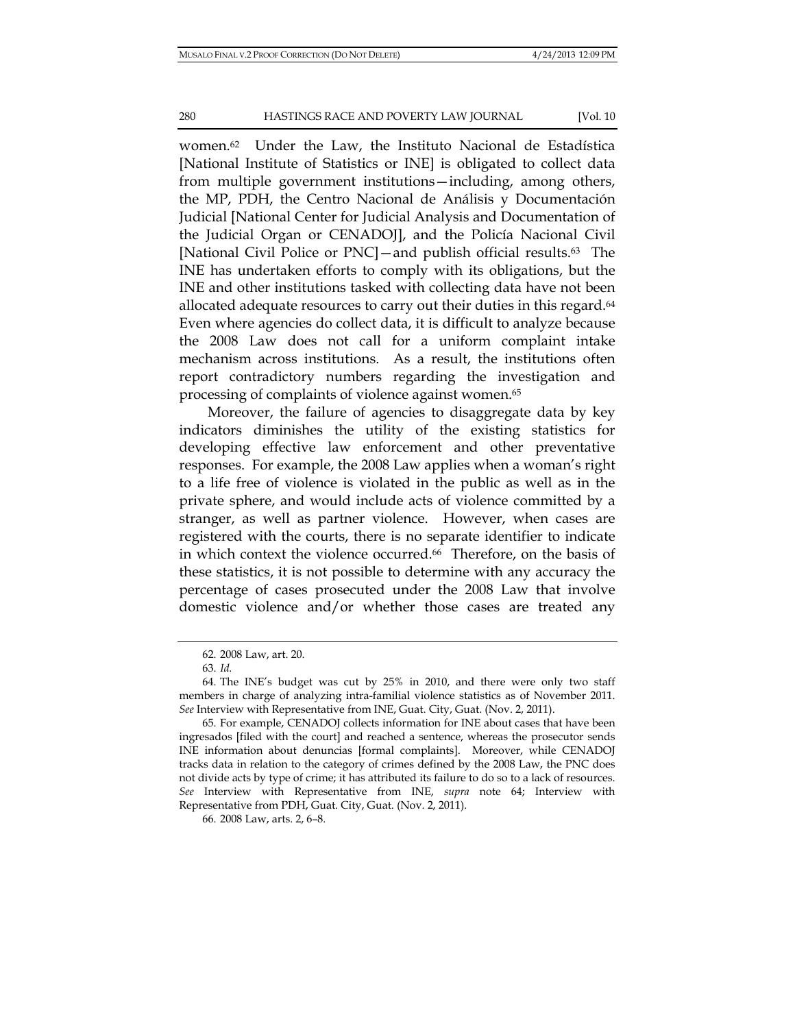women.62 Under the Law, the Instituto Nacional de Estadística [National Institute of Statistics or INE] is obligated to collect data from multiple government institutions—including, among others, the MP, PDH, the Centro Nacional de Análisis y Documentación Judicial [National Center for Judicial Analysis and Documentation of the Judicial Organ or CENADOJ], and the Policía Nacional Civil [National Civil Police or PNC]—and publish official results.63 The INE has undertaken efforts to comply with its obligations, but the INE and other institutions tasked with collecting data have not been allocated adequate resources to carry out their duties in this regard.<sup>64</sup> Even where agencies do collect data, it is difficult to analyze because the 2008 Law does not call for a uniform complaint intake mechanism across institutions. As a result, the institutions often report contradictory numbers regarding the investigation and processing of complaints of violence against women.65

Moreover, the failure of agencies to disaggregate data by key indicators diminishes the utility of the existing statistics for developing effective law enforcement and other preventative responses. For example, the 2008 Law applies when a woman's right to a life free of violence is violated in the public as well as in the private sphere, and would include acts of violence committed by a stranger, as well as partner violence. However, when cases are registered with the courts, there is no separate identifier to indicate in which context the violence occurred.<sup>66</sup> Therefore, on the basis of these statistics, it is not possible to determine with any accuracy the percentage of cases prosecuted under the 2008 Law that involve domestic violence and/or whether those cases are treated any

<sup>62. 2008</sup> Law, art. 20.

<sup>63.</sup> *Id.*

<sup>64.</sup> The INE's budget was cut by 25% in 2010, and there were only two staff members in charge of analyzing intra-familial violence statistics as of November 2011. *See* Interview with Representative from INE, Guat. City, Guat. (Nov. 2, 2011).

<sup>65.</sup> For example, CENADOJ collects information for INE about cases that have been ingresados [filed with the court] and reached a sentence, whereas the prosecutor sends INE information about denuncias [formal complaints]. Moreover, while CENADOJ tracks data in relation to the category of crimes defined by the 2008 Law, the PNC does not divide acts by type of crime; it has attributed its failure to do so to a lack of resources. *See* Interview with Representative from INE, *supra* note 64; Interview with Representative from PDH, Guat. City, Guat. (Nov. 2, 2011).

<sup>66. 2008</sup> Law, arts. 2, 6–8.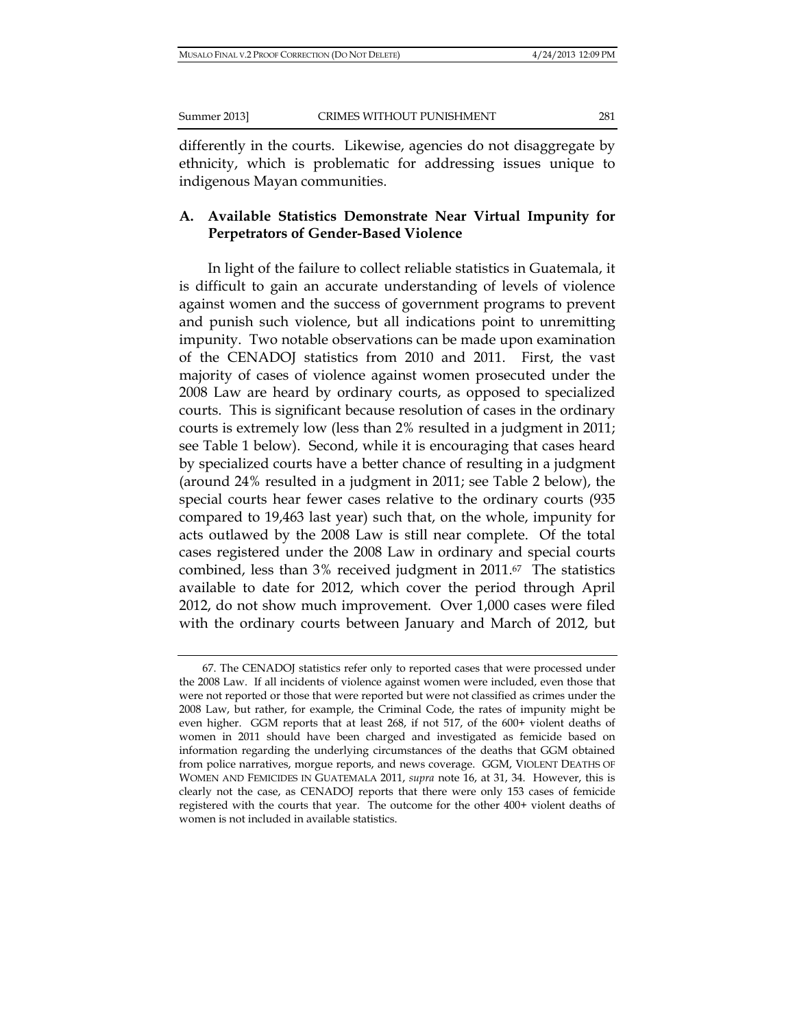differently in the courts. Likewise, agencies do not disaggregate by ethnicity, which is problematic for addressing issues unique to indigenous Mayan communities.

# **A. Available Statistics Demonstrate Near Virtual Impunity for Perpetrators of Gender-Based Violence**

In light of the failure to collect reliable statistics in Guatemala, it is difficult to gain an accurate understanding of levels of violence against women and the success of government programs to prevent and punish such violence, but all indications point to unremitting impunity. Two notable observations can be made upon examination of the CENADOJ statistics from 2010 and 2011. First, the vast majority of cases of violence against women prosecuted under the 2008 Law are heard by ordinary courts, as opposed to specialized courts. This is significant because resolution of cases in the ordinary courts is extremely low (less than 2% resulted in a judgment in 2011; see Table 1 below). Second, while it is encouraging that cases heard by specialized courts have a better chance of resulting in a judgment (around 24% resulted in a judgment in 2011; see Table 2 below), the special courts hear fewer cases relative to the ordinary courts (935 compared to 19,463 last year) such that, on the whole, impunity for acts outlawed by the 2008 Law is still near complete. Of the total cases registered under the 2008 Law in ordinary and special courts combined, less than 3% received judgment in 2011.67 The statistics available to date for 2012, which cover the period through April 2012, do not show much improvement. Over 1,000 cases were filed with the ordinary courts between January and March of 2012, but

<sup>67.</sup> The CENADOJ statistics refer only to reported cases that were processed under the 2008 Law. If all incidents of violence against women were included, even those that were not reported or those that were reported but were not classified as crimes under the 2008 Law, but rather, for example, the Criminal Code, the rates of impunity might be even higher. GGM reports that at least 268, if not 517, of the 600+ violent deaths of women in 2011 should have been charged and investigated as femicide based on information regarding the underlying circumstances of the deaths that GGM obtained from police narratives, morgue reports, and news coverage. GGM, VIOLENT DEATHS OF WOMEN AND FEMICIDES IN GUATEMALA 2011, *supra* note 16, at 31, 34. However, this is clearly not the case, as CENADOJ reports that there were only 153 cases of femicide registered with the courts that year. The outcome for the other 400+ violent deaths of women is not included in available statistics.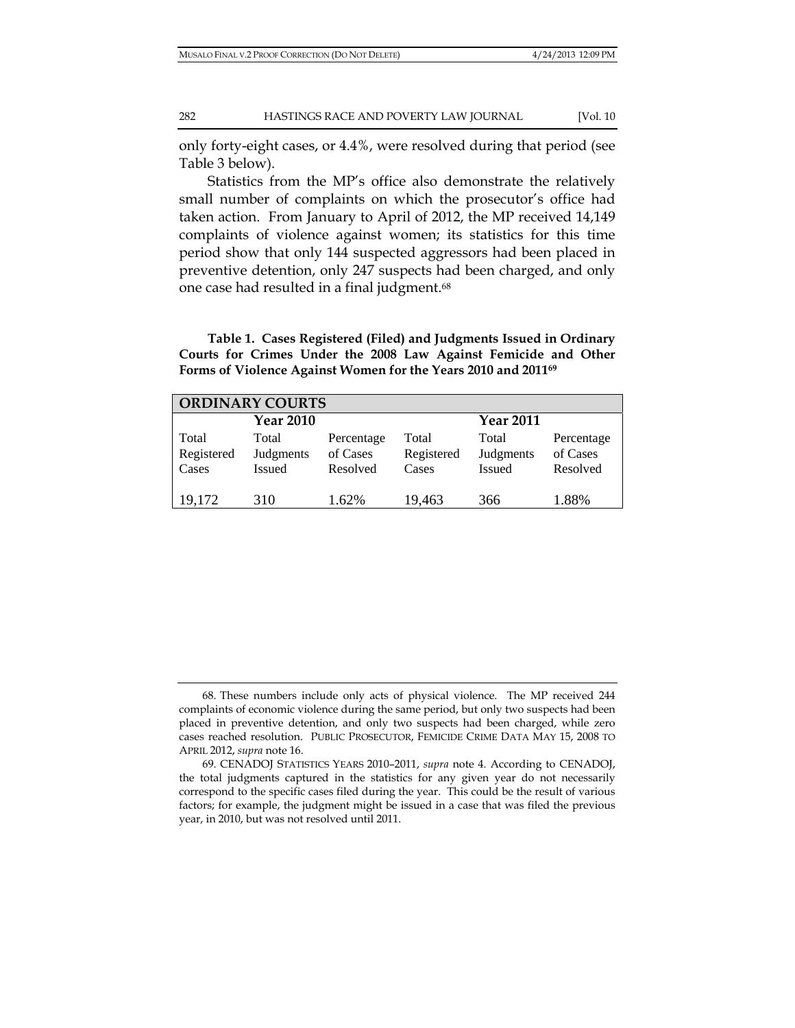only forty-eight cases, or 4.4%, were resolved during that period (see Table 3 below).

Statistics from the MP's office also demonstrate the relatively small number of complaints on which the prosecutor's office had taken action. From January to April of 2012, the MP received 14,149 complaints of violence against women; its statistics for this time period show that only 144 suspected aggressors had been placed in preventive detention, only 247 suspects had been charged, and only one case had resulted in a final judgment.68

**Table 1. Cases Registered (Filed) and Judgments Issued in Ordinary Courts for Crimes Under the 2008 Law Against Femicide and Other Forms of Violence Against Women for the Years 2010 and 201169**

| <b>ORDINARY COURTS</b> |                  |            |            |                  |            |  |  |  |  |
|------------------------|------------------|------------|------------|------------------|------------|--|--|--|--|
|                        | <b>Year 2010</b> |            |            | <b>Year 2011</b> |            |  |  |  |  |
| Total                  | Total            | Percentage | Total      | Total            | Percentage |  |  |  |  |
| Registered             | Judgments        | of Cases   | Registered | Judgments        | of Cases   |  |  |  |  |
| Cases                  | Issued           | Resolved   | Cases      | <b>Issued</b>    | Resolved   |  |  |  |  |
|                        |                  |            |            |                  |            |  |  |  |  |
| 19,172                 | 310              | 1.62%      | 19,463     | 366              | 1.88%      |  |  |  |  |

<sup>68.</sup> These numbers include only acts of physical violence. The MP received 244 complaints of economic violence during the same period, but only two suspects had been placed in preventive detention, and only two suspects had been charged, while zero cases reached resolution. PUBLIC PROSECUTOR, FEMICIDE CRIME DATA MAY 15, 2008 TO APRIL 2012, *supra* note 16.

<sup>69.</sup> CENADOJ STATISTICS YEARS 2010–2011, *supra* note 4. According to CENADOJ, the total judgments captured in the statistics for any given year do not necessarily correspond to the specific cases filed during the year. This could be the result of various factors; for example, the judgment might be issued in a case that was filed the previous year, in 2010, but was not resolved until 2011.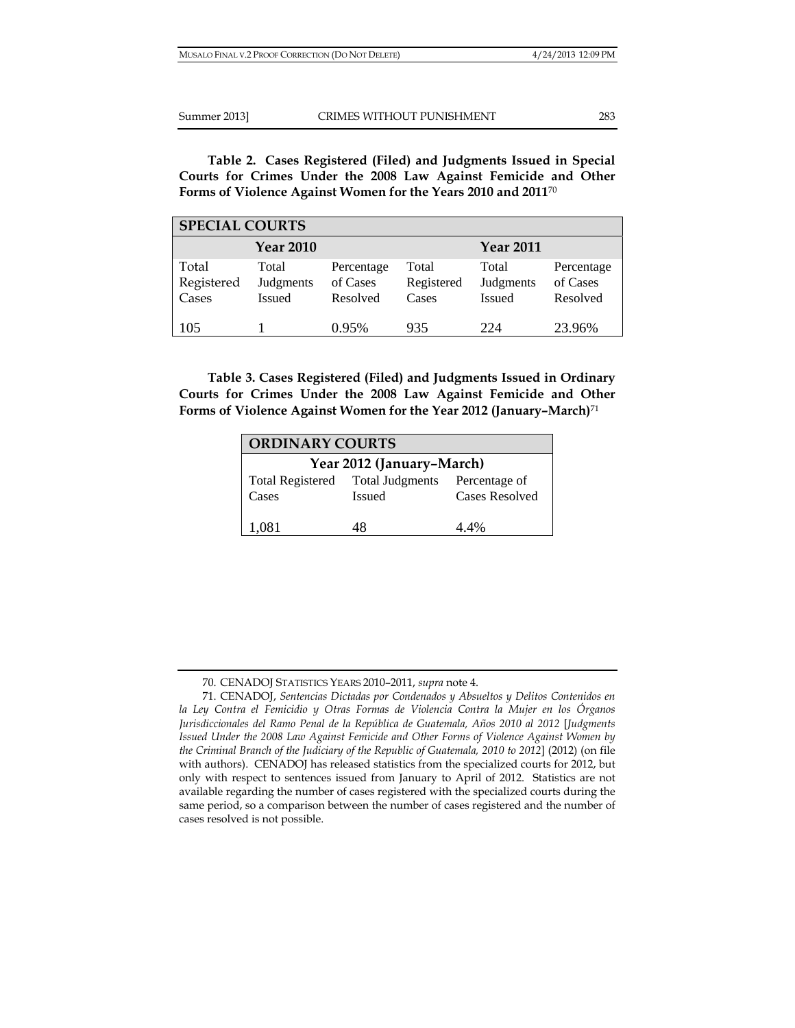**Table 2. Cases Registered (Filed) and Judgments Issued in Special Courts for Crimes Under the 2008 Law Against Femicide and Other Forms of Violence Against Women for the Years 2010 and 2011**<sup>70</sup>

| <b>SPECIAL COURTS</b>        |                                     |                                    |                              |                                     |                                    |  |  |  |
|------------------------------|-------------------------------------|------------------------------------|------------------------------|-------------------------------------|------------------------------------|--|--|--|
|                              | <b>Year 2010</b>                    |                                    |                              | <b>Year 2011</b>                    |                                    |  |  |  |
| Total<br>Registered<br>Cases | Total<br>Judgments<br><b>Issued</b> | Percentage<br>of Cases<br>Resolved | Total<br>Registered<br>Cases | Total<br>Judgments<br><b>Issued</b> | Percentage<br>of Cases<br>Resolved |  |  |  |
| 105                          |                                     | 0.95%                              | 935                          | 224                                 | 23.96%                             |  |  |  |

**Table 3. Cases Registered (Filed) and Judgments Issued in Ordinary Courts for Crimes Under the 2008 Law Against Femicide and Other Forms of Violence Against Women for the Year 2012 (January–March)**<sup>71</sup>

| <b>ORDINARY COURTS</b>    |                                                |                |  |  |  |  |  |
|---------------------------|------------------------------------------------|----------------|--|--|--|--|--|
| Year 2012 (January-March) |                                                |                |  |  |  |  |  |
|                           | Total Registered Total Judgments Percentage of |                |  |  |  |  |  |
| Cases                     | <b>Issued</b>                                  | Cases Resolved |  |  |  |  |  |
| 1,081                     | 48                                             | 4 4%           |  |  |  |  |  |

<sup>70.</sup> CENADOJ STATISTICS YEARS 2010–2011, *supra* note 4.

<sup>71.</sup> CENADOJ, *Sentencias Dictadas por Condenados y Absueltos y Delitos Contenidos en*  la Ley Contra el Femicidio y Otras Formas de Violencia Contra la Mujer en los Órganos *Jurisdiccionales del Ramo Penal de la República de Guatemala, Años 2010 al 2012* [*Judgments Issued Under the 2008 Law Against Femicide and Other Forms of Violence Against Women by the Criminal Branch of the Judiciary of the Republic of Guatemala, 2010 to 2012*] (2012) (on file with authors). CENADOJ has released statistics from the specialized courts for 2012, but only with respect to sentences issued from January to April of 2012. Statistics are not available regarding the number of cases registered with the specialized courts during the same period, so a comparison between the number of cases registered and the number of cases resolved is not possible.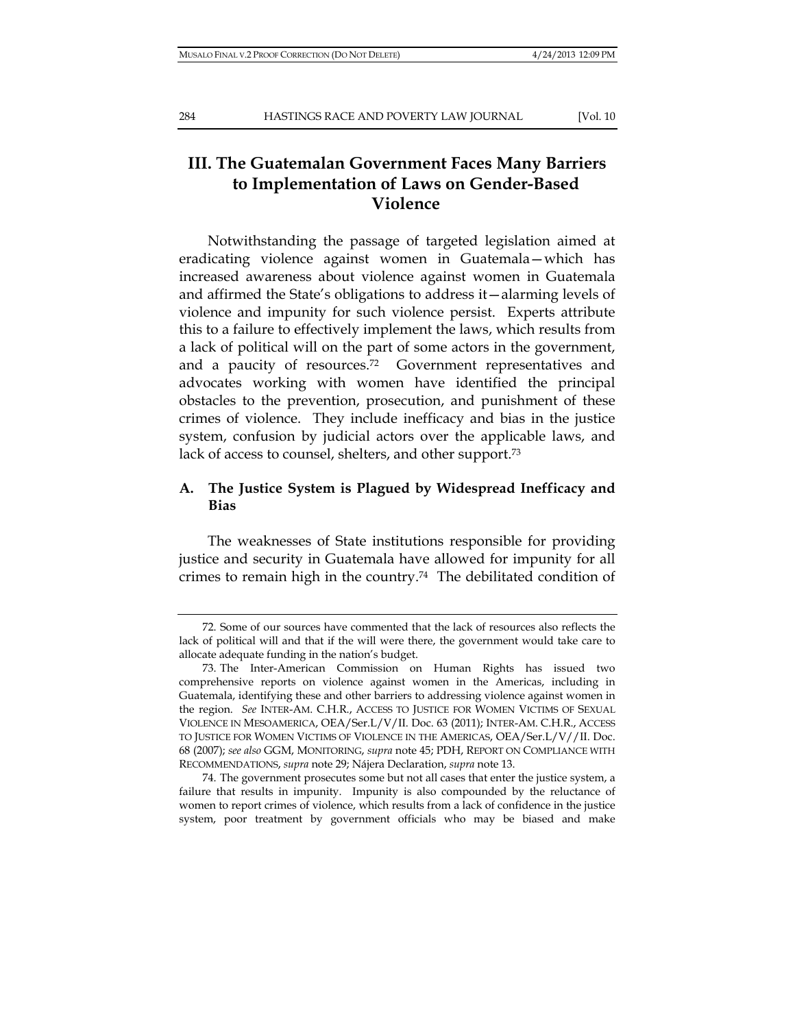# **III. The Guatemalan Government Faces Many Barriers to Implementation of Laws on Gender-Based Violence**

Notwithstanding the passage of targeted legislation aimed at eradicating violence against women in Guatemala—which has increased awareness about violence against women in Guatemala and affirmed the State's obligations to address it—alarming levels of violence and impunity for such violence persist. Experts attribute this to a failure to effectively implement the laws, which results from a lack of political will on the part of some actors in the government, and a paucity of resources.72 Government representatives and advocates working with women have identified the principal obstacles to the prevention, prosecution, and punishment of these crimes of violence. They include inefficacy and bias in the justice system, confusion by judicial actors over the applicable laws, and lack of access to counsel, shelters, and other support.73

# **A. The Justice System is Plagued by Widespread Inefficacy and Bias**

The weaknesses of State institutions responsible for providing justice and security in Guatemala have allowed for impunity for all crimes to remain high in the country.74 The debilitated condition of

<sup>72.</sup> Some of our sources have commented that the lack of resources also reflects the lack of political will and that if the will were there, the government would take care to allocate adequate funding in the nation's budget.

<sup>73.</sup> The Inter-American Commission on Human Rights has issued two comprehensive reports on violence against women in the Americas, including in Guatemala, identifying these and other barriers to addressing violence against women in the region. *See* INTER-AM. C.H.R., ACCESS TO JUSTICE FOR WOMEN VICTIMS OF SEXUAL VIOLENCE IN MESOAMERICA, OEA/Ser.L/V/II. Doc. 63 (2011); INTER-AM. C.H.R., ACCESS TO JUSTICE FOR WOMEN VICTIMS OF VIOLENCE IN THE AMERICAS, OEA/Ser.L/V//II. Doc. 68 (2007); *see also* GGM, MONITORING, *supra* note 45; PDH, REPORT ON COMPLIANCE WITH RECOMMENDATIONS, *supra* note 29; Nájera Declaration, *supra* note 13.

<sup>74.</sup> The government prosecutes some but not all cases that enter the justice system, a failure that results in impunity. Impunity is also compounded by the reluctance of women to report crimes of violence, which results from a lack of confidence in the justice system, poor treatment by government officials who may be biased and make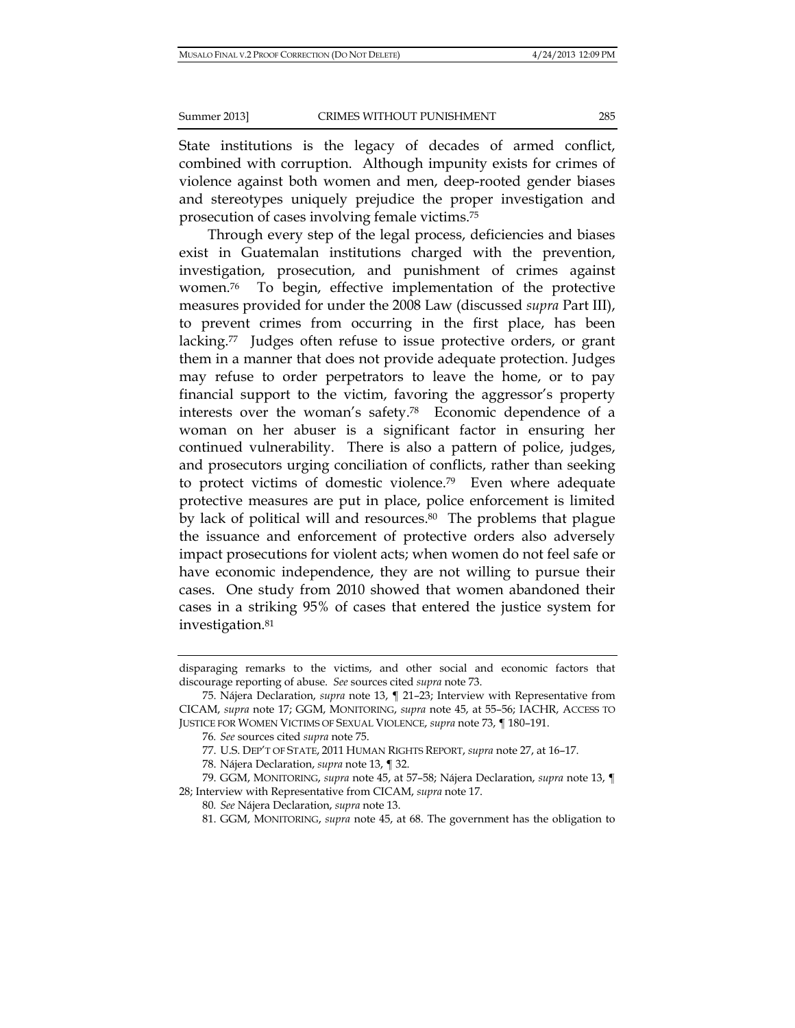State institutions is the legacy of decades of armed conflict, combined with corruption. Although impunity exists for crimes of violence against both women and men, deep-rooted gender biases and stereotypes uniquely prejudice the proper investigation and prosecution of cases involving female victims.75

Through every step of the legal process, deficiencies and biases exist in Guatemalan institutions charged with the prevention, investigation, prosecution, and punishment of crimes against women.76 To begin, effective implementation of the protective measures provided for under the 2008 Law (discussed *supra* Part III), to prevent crimes from occurring in the first place, has been lacking.<sup>77</sup> Judges often refuse to issue protective orders, or grant them in a manner that does not provide adequate protection. Judges may refuse to order perpetrators to leave the home, or to pay financial support to the victim, favoring the aggressor's property interests over the woman's safety.78 Economic dependence of a woman on her abuser is a significant factor in ensuring her continued vulnerability. There is also a pattern of police, judges, and prosecutors urging conciliation of conflicts, rather than seeking to protect victims of domestic violence.79 Even where adequate protective measures are put in place, police enforcement is limited by lack of political will and resources.<sup>80</sup> The problems that plague the issuance and enforcement of protective orders also adversely impact prosecutions for violent acts; when women do not feel safe or have economic independence, they are not willing to pursue their cases. One study from 2010 showed that women abandoned their cases in a striking 95% of cases that entered the justice system for investigation.81

disparaging remarks to the victims, and other social and economic factors that discourage reporting of abuse. *See* sources cited *supra* note 73.

<sup>75.</sup> Nájera Declaration, *supra* note 13, ¶ 21–23; Interview with Representative from CICAM, *supra* note 17; GGM, MONITORING, *supra* note 45, at 55–56; IACHR, ACCESS TO JUSTICE FOR WOMEN VICTIMS OF SEXUAL VIOLENCE, *supra* note 73, ¶ 180–191.

<sup>76</sup>*. See* sources cited *supra* note 75.

<sup>77.</sup> U.S. DEP'T OF STATE, 2011 HUMAN RIGHTS REPORT, *supra* note 27, at 16–17.

<sup>78.</sup> Nájera Declaration, *supra* note 13, ¶ 32.

<sup>79.</sup> GGM, MONITORING, *supra* note 45, at 57–58; Nájera Declaration, *supra* note 13, ¶ 28; Interview with Representative from CICAM, *supra* note 17.

<sup>80</sup>*. See* Nájera Declaration, *supra* note 13.

<sup>81.</sup> GGM, MONITORING, *supra* note 45, at 68. The government has the obligation to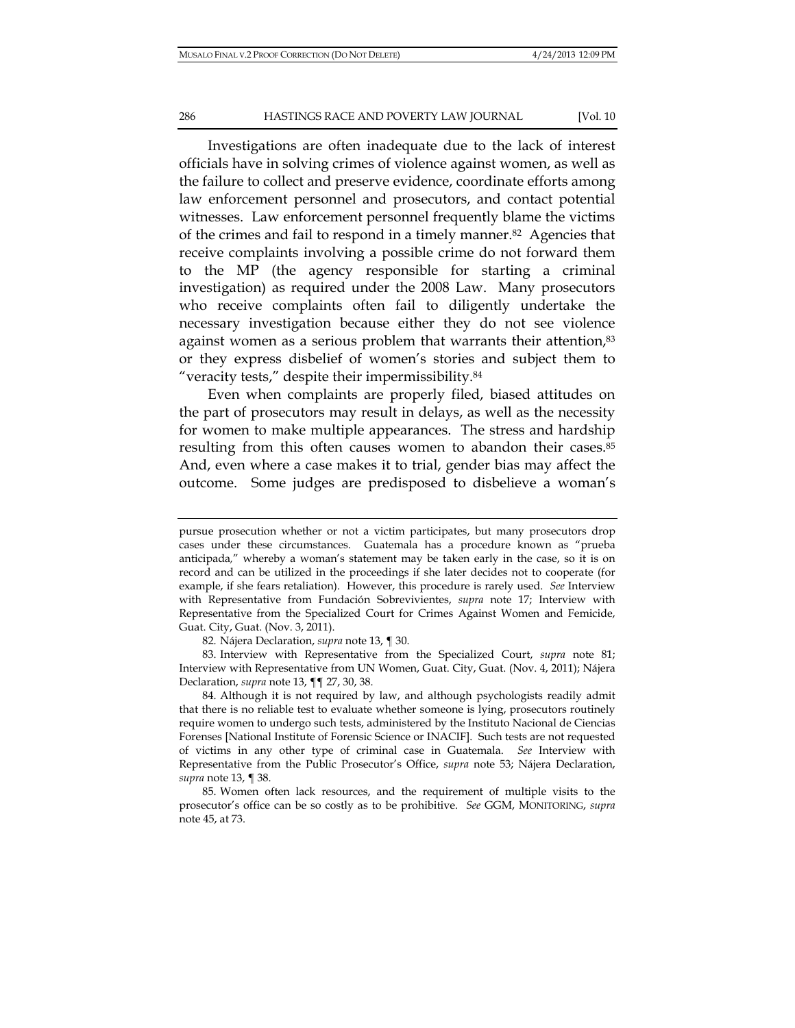Investigations are often inadequate due to the lack of interest officials have in solving crimes of violence against women, as well as the failure to collect and preserve evidence, coordinate efforts among law enforcement personnel and prosecutors, and contact potential witnesses. Law enforcement personnel frequently blame the victims of the crimes and fail to respond in a timely manner.82 Agencies that receive complaints involving a possible crime do not forward them to the MP (the agency responsible for starting a criminal investigation) as required under the 2008 Law. Many prosecutors who receive complaints often fail to diligently undertake the necessary investigation because either they do not see violence against women as a serious problem that warrants their attention,<sup>83</sup> or they express disbelief of women's stories and subject them to "veracity tests," despite their impermissibility.84

Even when complaints are properly filed, biased attitudes on the part of prosecutors may result in delays, as well as the necessity for women to make multiple appearances. The stress and hardship resulting from this often causes women to abandon their cases.85 And, even where a case makes it to trial, gender bias may affect the outcome. Some judges are predisposed to disbelieve a woman's

82. Nájera Declaration, *supra* note 13, ¶ 30.

83. Interview with Representative from the Specialized Court, *supra* note 81; Interview with Representative from UN Women, Guat. City, Guat. (Nov. 4, 2011); Nájera Declaration, *supra* note 13, ¶¶ 27, 30, 38.

84. Although it is not required by law, and although psychologists readily admit that there is no reliable test to evaluate whether someone is lying, prosecutors routinely require women to undergo such tests, administered by the Instituto Nacional de Ciencias Forenses [National Institute of Forensic Science or INACIF]. Such tests are not requested of victims in any other type of criminal case in Guatemala. *See* Interview with Representative from the Public Prosecutor's Office, *supra* note 53; Nájera Declaration, *supra* note 13, ¶ 38.

85. Women often lack resources, and the requirement of multiple visits to the prosecutor's office can be so costly as to be prohibitive. *See* GGM, MONITORING, *supra*  note 45, at 73.

pursue prosecution whether or not a victim participates, but many prosecutors drop cases under these circumstances. Guatemala has a procedure known as "prueba anticipada*,*" whereby a woman's statement may be taken early in the case, so it is on record and can be utilized in the proceedings if she later decides not to cooperate (for example, if she fears retaliation). However, this procedure is rarely used. *See* Interview with Representative from Fundación Sobrevivientes, *supra* note 17; Interview with Representative from the Specialized Court for Crimes Against Women and Femicide, Guat. City, Guat. (Nov. 3, 2011).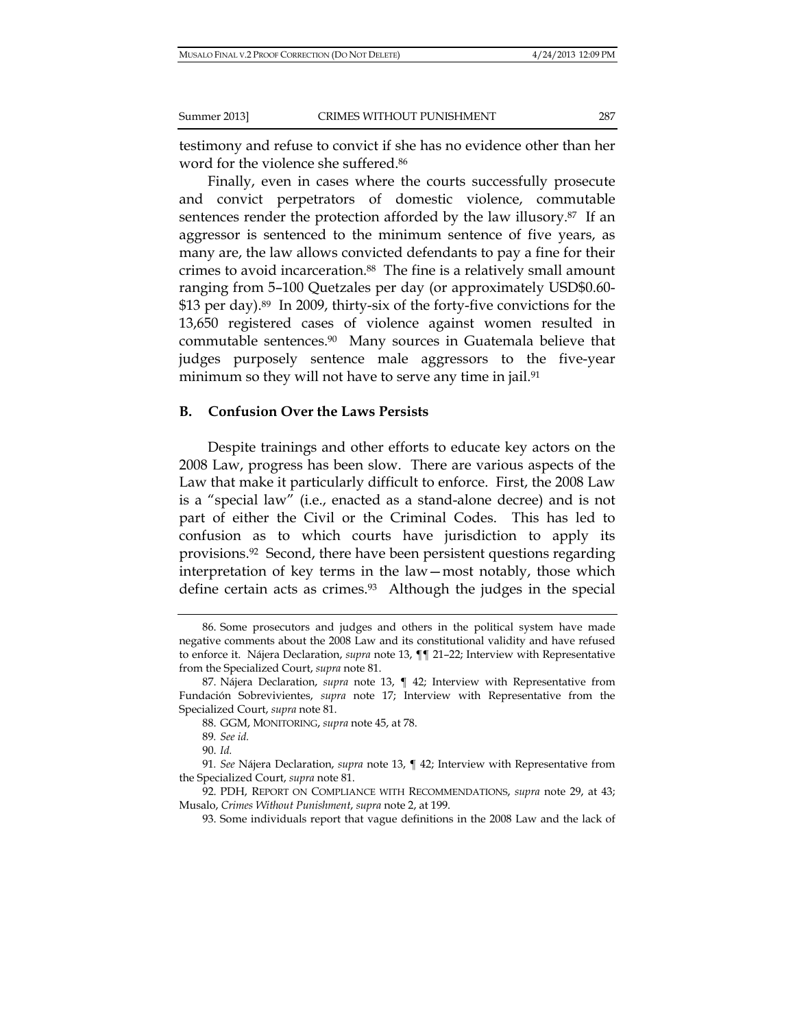testimony and refuse to convict if she has no evidence other than her word for the violence she suffered.<sup>86</sup>

Finally, even in cases where the courts successfully prosecute and convict perpetrators of domestic violence, commutable sentences render the protection afforded by the law illusory.87 If an aggressor is sentenced to the minimum sentence of five years, as many are, the law allows convicted defendants to pay a fine for their crimes to avoid incarceration.88 The fine is a relatively small amount ranging from 5–100 Quetzales per day (or approximately USD\$0.60- \$13 per day).<sup>89</sup> In 2009, thirty-six of the forty-five convictions for the 13,650 registered cases of violence against women resulted in commutable sentences.90 Many sources in Guatemala believe that judges purposely sentence male aggressors to the five-year minimum so they will not have to serve any time in jail.<sup>91</sup>

### **B. Confusion Over the Laws Persists**

Despite trainings and other efforts to educate key actors on the 2008 Law, progress has been slow. There are various aspects of the Law that make it particularly difficult to enforce. First, the 2008 Law is a "special law" (i.e., enacted as a stand-alone decree) and is not part of either the Civil or the Criminal Codes. This has led to confusion as to which courts have jurisdiction to apply its provisions.92 Second, there have been persistent questions regarding interpretation of key terms in the law—most notably, those which define certain acts as crimes. $93$  Although the judges in the special

<sup>86.</sup> Some prosecutors and judges and others in the political system have made negative comments about the 2008 Law and its constitutional validity and have refused to enforce it. Nájera Declaration, *supra* note 13, ¶¶ 21–22; Interview with Representative from the Specialized Court, *supra* note 81.

<sup>87.</sup> Nájera Declaration, *supra* note 13, ¶ 42; Interview with Representative from Fundación Sobrevivientes, *supra* note 17; Interview with Representative from the Specialized Court, *supra* note 81.

<sup>88.</sup> GGM, MONITORING, *supra* note 45, at 78.

<sup>89</sup>*. See id.*

<sup>90.</sup> *Id.*

<sup>91</sup>*. See* Nájera Declaration, *supra* note 13, ¶ 42; Interview with Representative from the Specialized Court, *supra* note 81.

<sup>92.</sup> PDH, REPORT ON COMPLIANCE WITH RECOMMENDATIONS, *supra* note 29, at 43; Musalo, *Crimes Without Punishment*, *supra* note 2, at 199.

<sup>93.</sup> Some individuals report that vague definitions in the 2008 Law and the lack of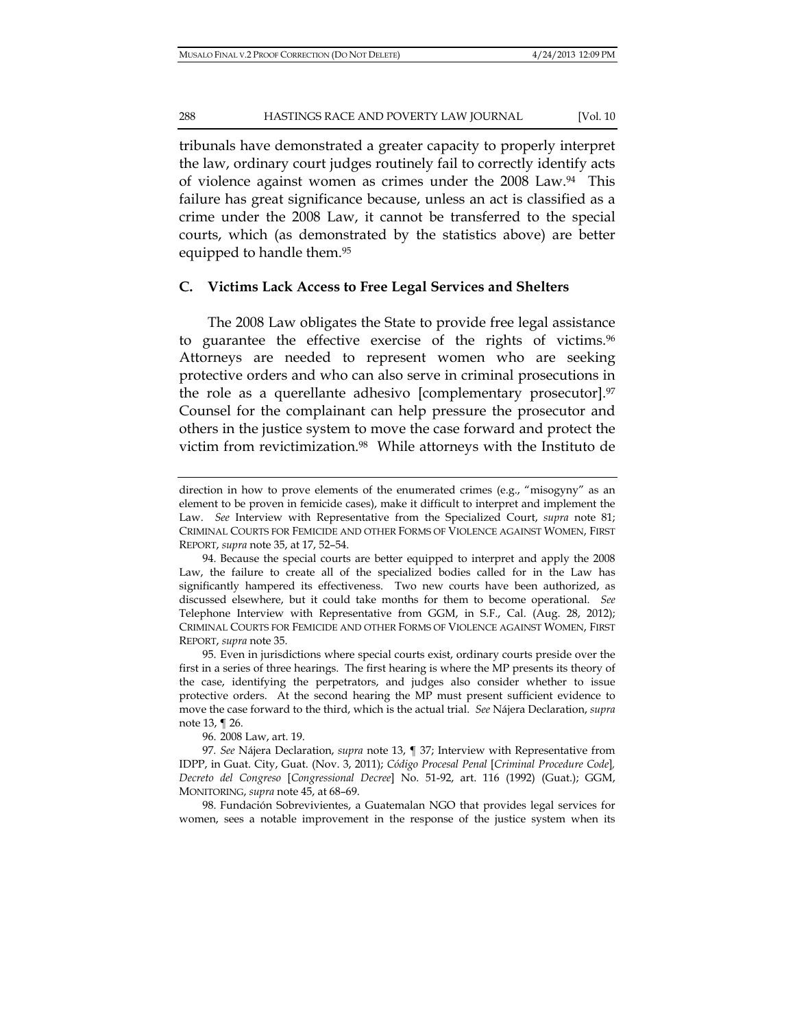tribunals have demonstrated a greater capacity to properly interpret the law, ordinary court judges routinely fail to correctly identify acts of violence against women as crimes under the 2008 Law.94 This failure has great significance because, unless an act is classified as a crime under the 2008 Law, it cannot be transferred to the special courts, which (as demonstrated by the statistics above) are better equipped to handle them.95

#### **C. Victims Lack Access to Free Legal Services and Shelters**

The 2008 Law obligates the State to provide free legal assistance to guarantee the effective exercise of the rights of victims.<sup>96</sup> Attorneys are needed to represent women who are seeking protective orders and who can also serve in criminal prosecutions in the role as a querellante adhesivo [complementary prosecutor].<sup>97</sup> Counsel for the complainant can help pressure the prosecutor and others in the justice system to move the case forward and protect the victim from revictimization.98 While attorneys with the Instituto de

96. 2008 Law, art. 19.

97*. See* Nájera Declaration, *supra* note 13, ¶ 37; Interview with Representative from IDPP, in Guat. City, Guat. (Nov. 3, 2011); *Código Procesal Penal* [*Criminal Procedure Code*]*, Decreto del Congreso* [*Congressional Decree*] No. 51-92, art. 116 (1992) (Guat.); GGM, MONITORING, *supra* note 45, at 68–69.

98. Fundación Sobrevivientes, a Guatemalan NGO that provides legal services for women, sees a notable improvement in the response of the justice system when its

direction in how to prove elements of the enumerated crimes (e.g., "misogyny" as an element to be proven in femicide cases), make it difficult to interpret and implement the Law. *See* Interview with Representative from the Specialized Court, *supra* note 81; CRIMINAL COURTS FOR FEMICIDE AND OTHER FORMS OF VIOLENCE AGAINST WOMEN, FIRST REPORT, *supra* note 35, at 17, 52–54.

<sup>94.</sup> Because the special courts are better equipped to interpret and apply the 2008 Law, the failure to create all of the specialized bodies called for in the Law has significantly hampered its effectiveness. Two new courts have been authorized, as discussed elsewhere, but it could take months for them to become operational. *See*  Telephone Interview with Representative from GGM, in S.F., Cal. (Aug. 28, 2012); CRIMINAL COURTS FOR FEMICIDE AND OTHER FORMS OF VIOLENCE AGAINST WOMEN, FIRST REPORT, *supra* note 35.

<sup>95.</sup> Even in jurisdictions where special courts exist, ordinary courts preside over the first in a series of three hearings. The first hearing is where the MP presents its theory of the case, identifying the perpetrators, and judges also consider whether to issue protective orders. At the second hearing the MP must present sufficient evidence to move the case forward to the third, which is the actual trial. *See* Nájera Declaration, *supra* note 13, ¶ 26.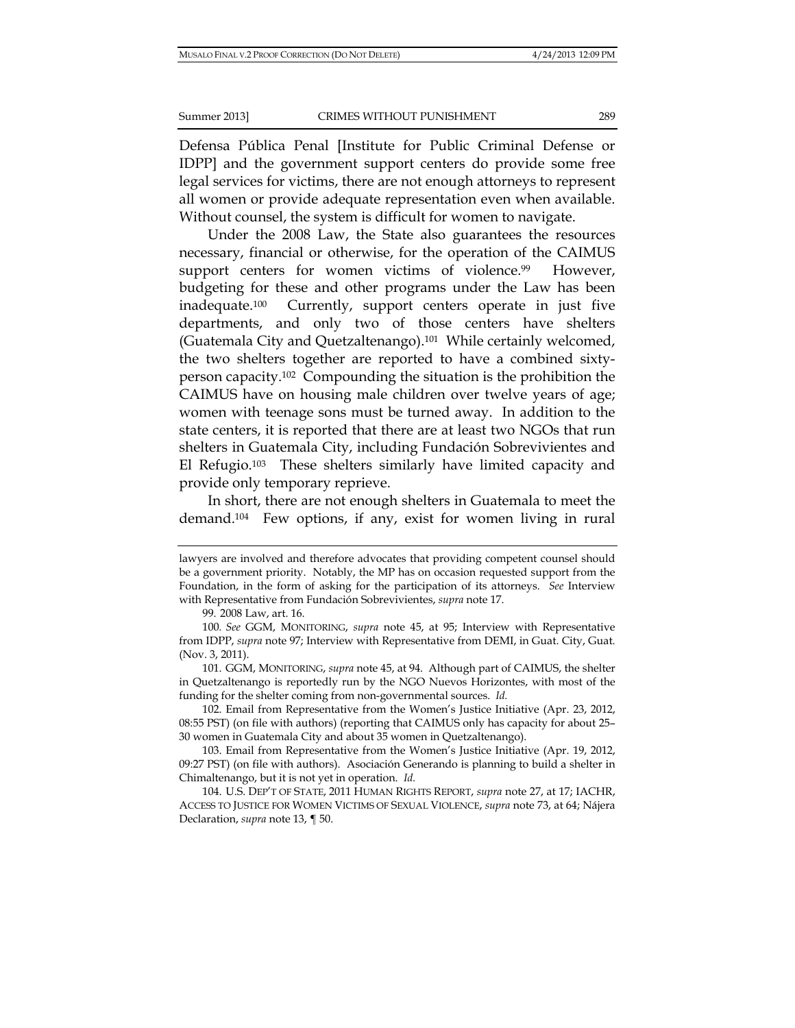Defensa Pública Penal [Institute for Public Criminal Defense or IDPP] and the government support centers do provide some free legal services for victims, there are not enough attorneys to represent all women or provide adequate representation even when available. Without counsel, the system is difficult for women to navigate.

Under the 2008 Law, the State also guarantees the resources necessary, financial or otherwise, for the operation of the CAIMUS support centers for women victims of violence.<sup>99</sup> However, budgeting for these and other programs under the Law has been inadequate.100 Currently, support centers operate in just five departments, and only two of those centers have shelters (Guatemala City and Quetzaltenango).101 While certainly welcomed, the two shelters together are reported to have a combined sixtyperson capacity.102 Compounding the situation is the prohibition the CAIMUS have on housing male children over twelve years of age; women with teenage sons must be turned away. In addition to the state centers, it is reported that there are at least two NGOs that run shelters in Guatemala City, including Fundación Sobrevivientes and El Refugio.103 These shelters similarly have limited capacity and provide only temporary reprieve.

In short, there are not enough shelters in Guatemala to meet the demand.104 Few options, if any, exist for women living in rural

lawyers are involved and therefore advocates that providing competent counsel should be a government priority. Notably, the MP has on occasion requested support from the Foundation, in the form of asking for the participation of its attorneys. *See* Interview with Representative from Fundación Sobrevivientes, *supra* note 17.

<sup>99. 2008</sup> Law, art. 16.

<sup>100</sup>*. See* GGM, MONITORING, *supra* note 45, at 95; Interview with Representative from IDPP, *supra* note 97; Interview with Representative from DEMI, in Guat. City, Guat. (Nov. 3, 2011).

<sup>101.</sup> GGM, MONITORING, *supra* note 45, at 94. Although part of CAIMUS, the shelter in Quetzaltenango is reportedly run by the NGO Nuevos Horizontes, with most of the funding for the shelter coming from non-governmental sources. *Id.*

<sup>102.</sup> Email from Representative from the Women's Justice Initiative (Apr. 23, 2012, 08:55 PST) (on file with authors) (reporting that CAIMUS only has capacity for about 25– 30 women in Guatemala City and about 35 women in Quetzaltenango).

<sup>103.</sup> Email from Representative from the Women's Justice Initiative (Apr. 19, 2012, 09:27 PST) (on file with authors). Asociación Generando is planning to build a shelter in Chimaltenango, but it is not yet in operation. *Id.*

<sup>104.</sup> U.S. DEP'T OF STATE, 2011 HUMAN RIGHTS REPORT, *supra* note 27, at 17; IACHR, ACCESS TO JUSTICE FOR WOMEN VICTIMS OF SEXUAL VIOLENCE, *supra* note 73, at 64; Nájera Declaration, *supra* note 13, ¶ 50.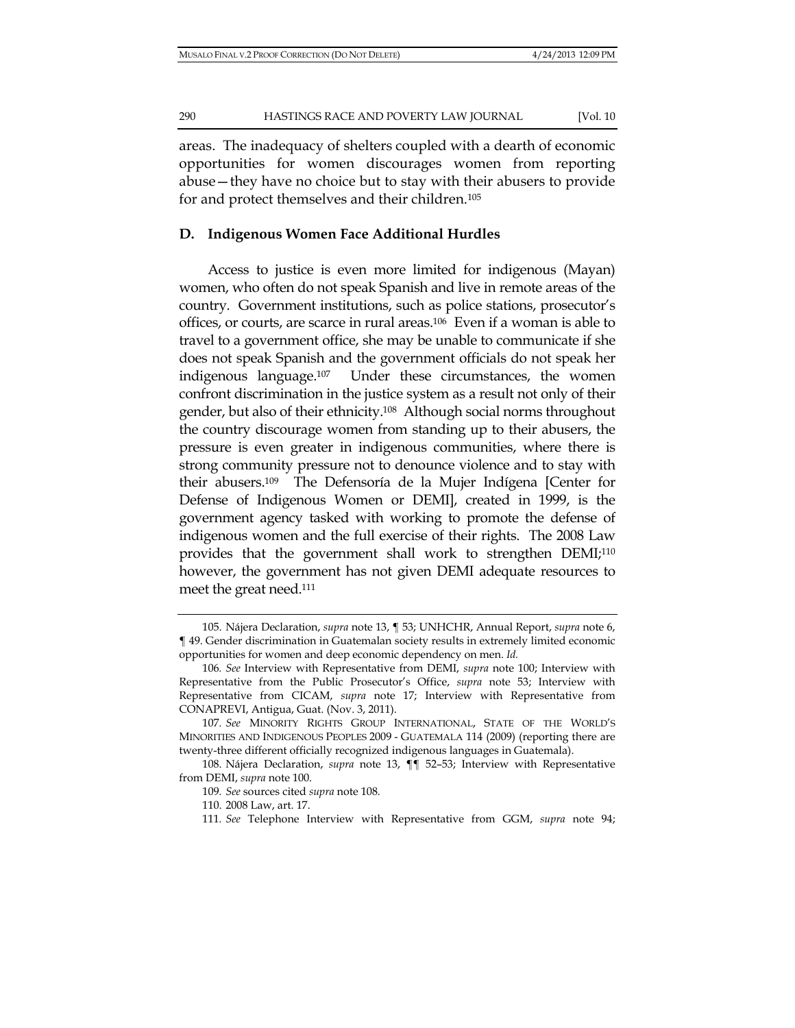areas. The inadequacy of shelters coupled with a dearth of economic opportunities for women discourages women from reporting abuse—they have no choice but to stay with their abusers to provide for and protect themselves and their children.105

#### **D. Indigenous Women Face Additional Hurdles**

Access to justice is even more limited for indigenous (Mayan) women, who often do not speak Spanish and live in remote areas of the country. Government institutions, such as police stations, prosecutor's offices, or courts, are scarce in rural areas.106 Even if a woman is able to travel to a government office, she may be unable to communicate if she does not speak Spanish and the government officials do not speak her indigenous language.107 Under these circumstances, the women confront discrimination in the justice system as a result not only of their gender, but also of their ethnicity.108 Although social norms throughout the country discourage women from standing up to their abusers, the pressure is even greater in indigenous communities, where there is strong community pressure not to denounce violence and to stay with their abusers.109 The Defensoría de la Mujer Indígena [Center for Defense of Indigenous Women or DEMI], created in 1999, is the government agency tasked with working to promote the defense of indigenous women and the full exercise of their rights. The 2008 Law provides that the government shall work to strengthen DEMI;110 however, the government has not given DEMI adequate resources to meet the great need.111

<sup>105.</sup> Nájera Declaration, *supra* note 13, ¶ 53; UNHCHR, Annual Report, *supra* note 6, ¶ 49. Gender discrimination in Guatemalan society results in extremely limited economic opportunities for women and deep economic dependency on men. *Id.*

<sup>106</sup>*. See* Interview with Representative from DEMI, *supra* note 100; Interview with Representative from the Public Prosecutor's Office, *supra* note 53; Interview with Representative from CICAM, *supra* note 17; Interview with Representative from CONAPREVI, Antigua, Guat. (Nov. 3, 2011).

<sup>107</sup>*. See* MINORITY RIGHTS GROUP INTERNATIONAL, STATE OF THE WORLD'S MINORITIES AND INDIGENOUS PEOPLES 2009 - GUATEMALA 114 (2009) (reporting there are twenty-three different officially recognized indigenous languages in Guatemala).

<sup>108.</sup> Nájera Declaration, *supra* note 13, ¶¶ 52–53; Interview with Representative from DEMI, *supra* note 100.

<sup>109</sup>*. See* sources cited *supra* note 108.

<sup>110. 2008</sup> Law, art. 17.

<sup>111</sup>*. See* Telephone Interview with Representative from GGM, *supra* note 94;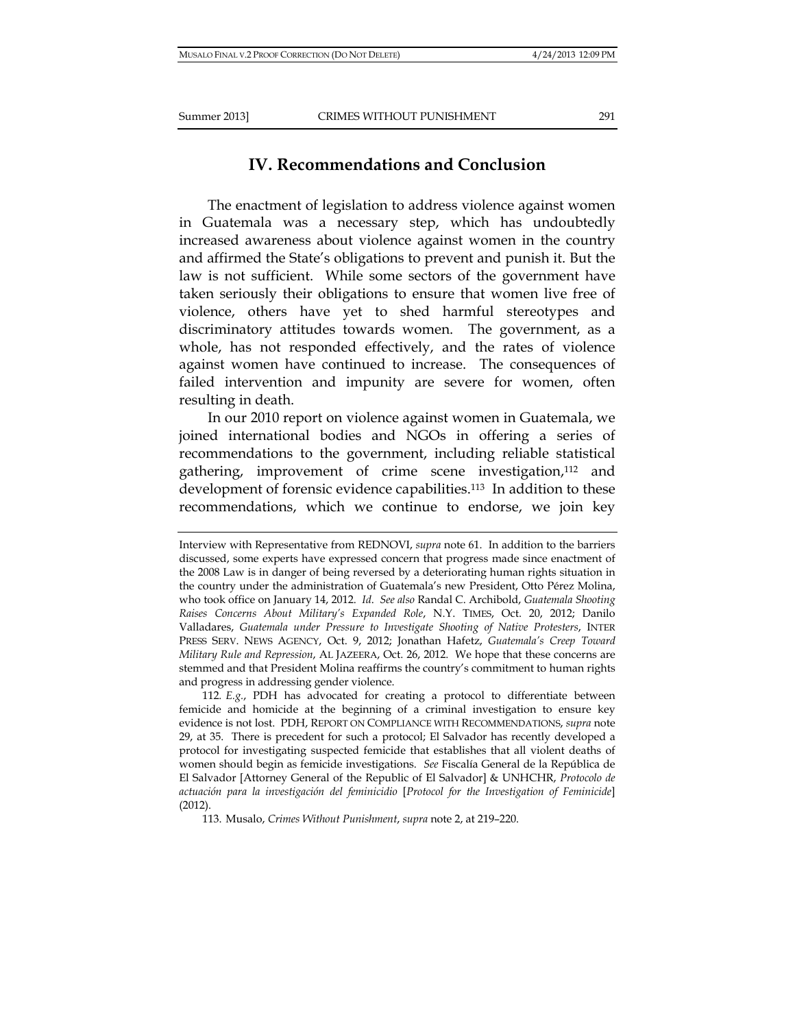# **IV. Recommendations and Conclusion**

The enactment of legislation to address violence against women in Guatemala was a necessary step, which has undoubtedly increased awareness about violence against women in the country and affirmed the State's obligations to prevent and punish it. But the law is not sufficient. While some sectors of the government have taken seriously their obligations to ensure that women live free of violence, others have yet to shed harmful stereotypes and discriminatory attitudes towards women. The government, as a whole, has not responded effectively, and the rates of violence against women have continued to increase. The consequences of failed intervention and impunity are severe for women, often resulting in death.

In our 2010 report on violence against women in Guatemala, we joined international bodies and NGOs in offering a series of recommendations to the government, including reliable statistical gathering, improvement of crime scene investigation,112 and development of forensic evidence capabilities.113 In addition to these recommendations, which we continue to endorse, we join key

112*. E.g.*, PDH has advocated for creating a protocol to differentiate between femicide and homicide at the beginning of a criminal investigation to ensure key evidence is not lost. PDH, REPORT ON COMPLIANCE WITH RECOMMENDATIONS, *supra* note 29, at 35. There is precedent for such a protocol; El Salvador has recently developed a protocol for investigating suspected femicide that establishes that all violent deaths of women should begin as femicide investigations. *See* Fiscalía General de la República de El Salvador [Attorney General of the Republic of El Salvador] & UNHCHR, *Protocolo de actuación para la investigación del feminicidio* [*Protocol for the Investigation of Feminicide*] (2012).

113. Musalo, *Crimes Without Punishment*, *supra* note 2, at 219–220.

Interview with Representative from REDNOVI, *supra* note 61. In addition to the barriers discussed, some experts have expressed concern that progress made since enactment of the 2008 Law is in danger of being reversed by a deteriorating human rights situation in the country under the administration of Guatemala's new President, Otto Pérez Molina, who took office on January 14, 2012. *Id*. *See also* Randal C. Archibold, *Guatemala Shooting Raises Concerns About Military's Expanded Role*, N.Y. TIMES, Oct. 20, 2012; Danilo Valladares, *Guatemala under Pressure to Investigate Shooting of Native Protesters*, INTER PRESS SERV. NEWS AGENCY, Oct. 9, 2012; Jonathan Hafetz, *Guatemala's Creep Toward Military Rule and Repression*, AL JAZEERA, Oct. 26, 2012. We hope that these concerns are stemmed and that President Molina reaffirms the country's commitment to human rights and progress in addressing gender violence.